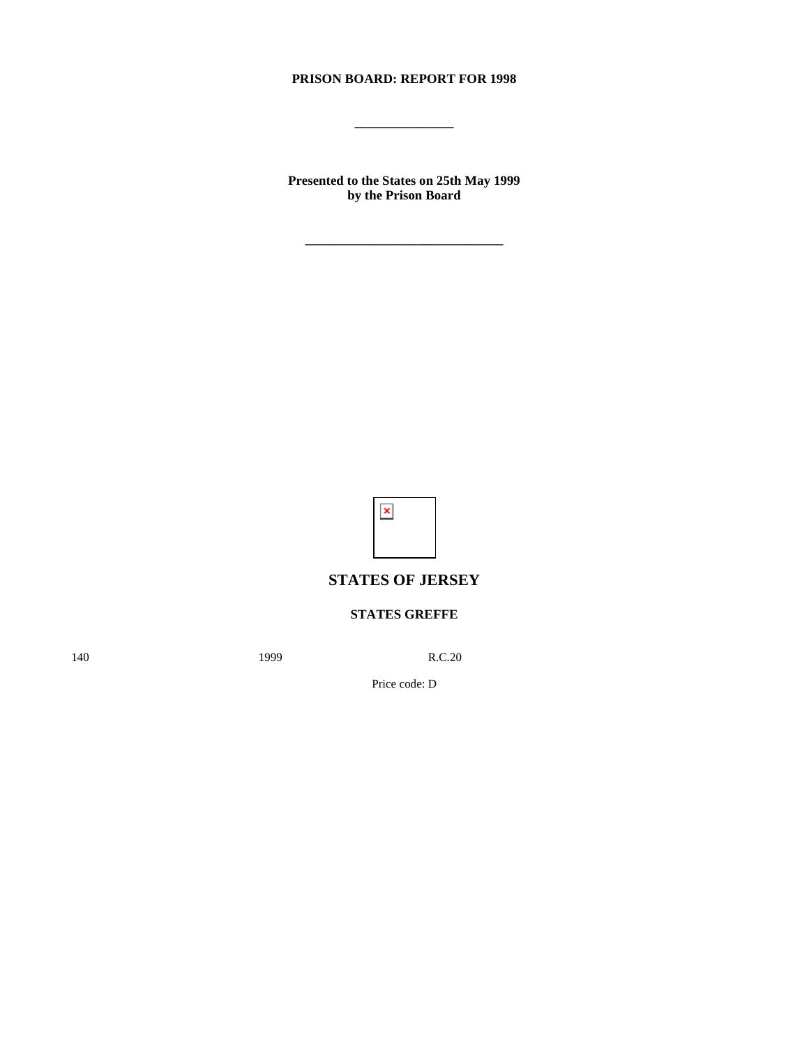# **PRISON BOARD: REPORT FOR 1998**

**\_\_\_\_\_\_\_\_\_\_\_\_\_\_\_**

**Presented to the States on 25th May 1999 by the Prison Board**

**\_\_\_\_\_\_\_\_\_\_\_\_\_\_\_\_\_\_\_\_\_\_\_\_\_\_\_\_\_\_**



# **STATES OF JERSEY**

# **STATES GREFFE**

140 **1999** R.C.20

Price code: D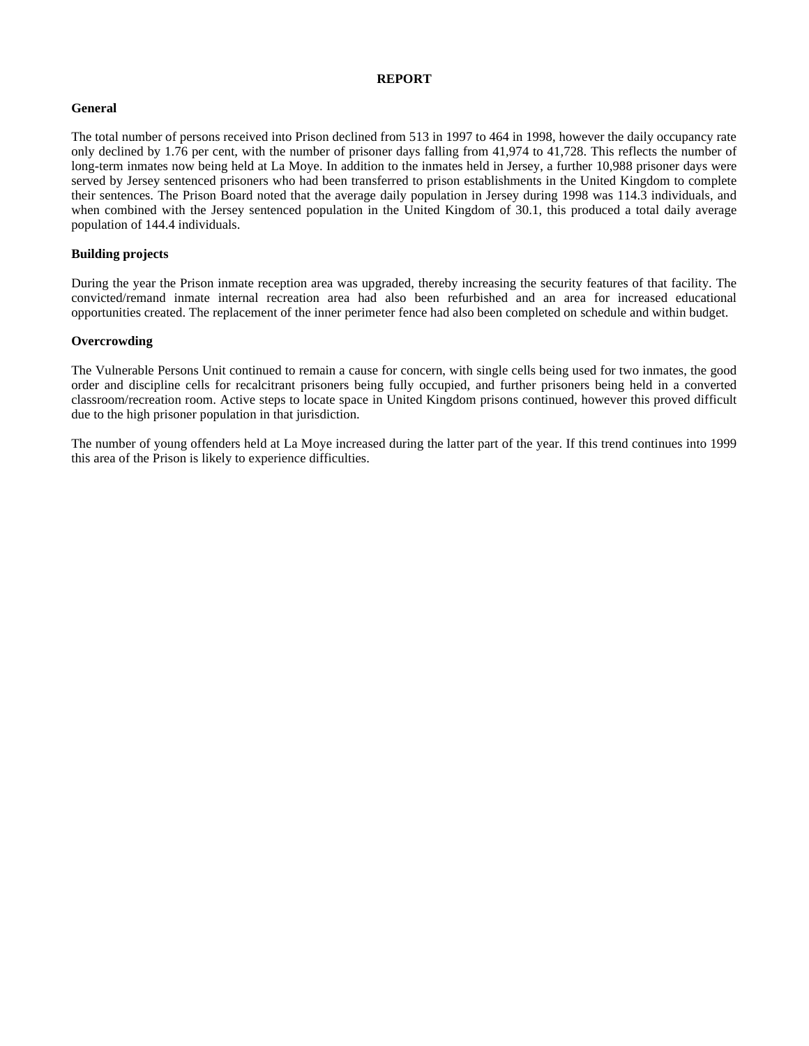## **REPORT**

## **General**

The total number of persons received into Prison declined from 513 in 1997 to 464 in 1998, however the daily occupancy rate only declined by 1.76 per cent, with the number of prisoner days falling from 41,974 to 41,728. This reflects the number of long-term inmates now being held at La Moye. In addition to the inmates held in Jersey, a further 10,988 prisoner days were served by Jersey sentenced prisoners who had been transferred to prison establishments in the United Kingdom to complete their sentences. The Prison Board noted that the average daily population in Jersey during 1998 was 114.3 individuals, and when combined with the Jersey sentenced population in the United Kingdom of 30.1, this produced a total daily average population of 144.4 individuals.

## **Building projects**

During the year the Prison inmate reception area was upgraded, thereby increasing the security features of that facility. The convicted/remand inmate internal recreation area had also been refurbished and an area for increased educational opportunities created. The replacement of the inner perimeter fence had also been completed on schedule and within budget.

## **Overcrowding**

The Vulnerable Persons Unit continued to remain a cause for concern, with single cells being used for two inmates, the good order and discipline cells for recalcitrant prisoners being fully occupied, and further prisoners being held in a converted classroom/recreation room. Active steps to locate space in United Kingdom prisons continued, however this proved difficult due to the high prisoner population in that jurisdiction.

The number of young offenders held at La Moye increased during the latter part of the year. If this trend continues into 1999 this area of the Prison is likely to experience difficulties.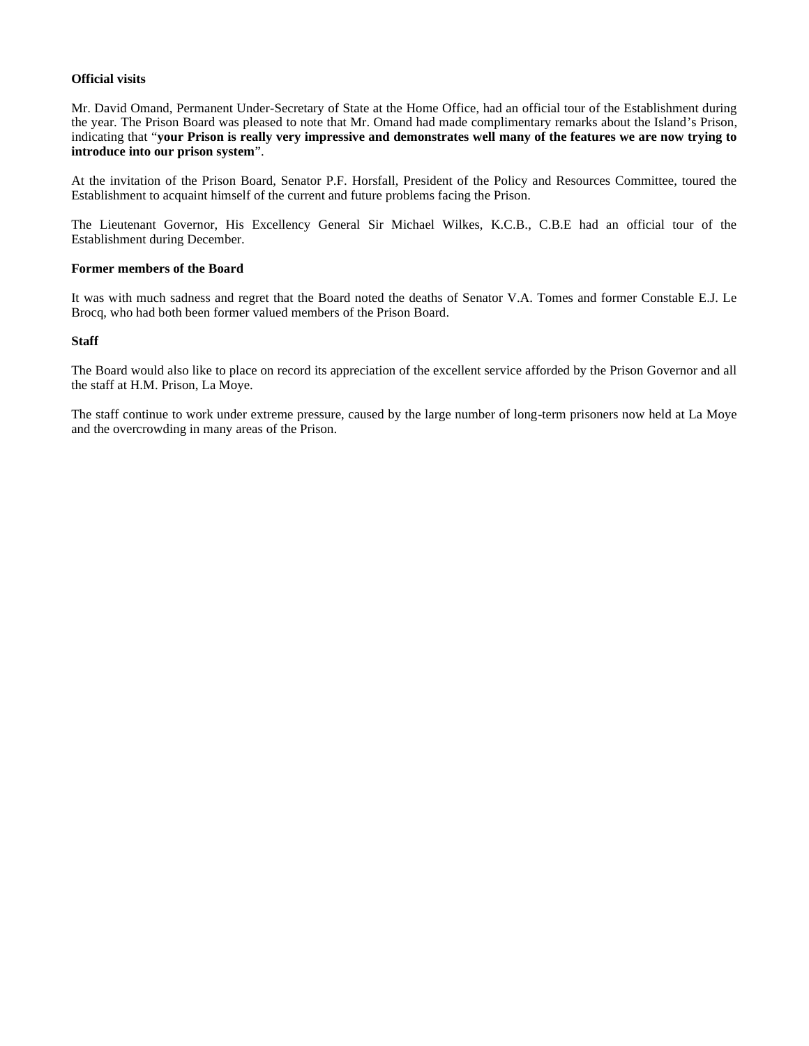## **Official visits**

Mr. David Omand, Permanent Under-Secretary of State at the Home Office, had an official tour of the Establishment during the year. The Prison Board was pleased to note that Mr. Omand had made complimentary remarks about the Island's Prison, indicating that "**your Prison is really very impressive and demonstrates well many of the features we are now trying to introduce into our prison system**".

At the invitation of the Prison Board, Senator P.F. Horsfall, President of the Policy and Resources Committee, toured the Establishment to acquaint himself of the current and future problems facing the Prison.

The Lieutenant Governor, His Excellency General Sir Michael Wilkes, K.C.B., C.B.E had an official tour of the Establishment during December.

## **Former members of the Board**

It was with much sadness and regret that the Board noted the deaths of Senator V.A. Tomes and former Constable E.J. Le Brocq, who had both been former valued members of the Prison Board.

## **Staff**

The Board would also like to place on record its appreciation of the excellent service afforded by the Prison Governor and all the staff at H.M. Prison, La Moye.

The staff continue to work under extreme pressure, caused by the large number of long-term prisoners now held at La Moye and the overcrowding in many areas of the Prison.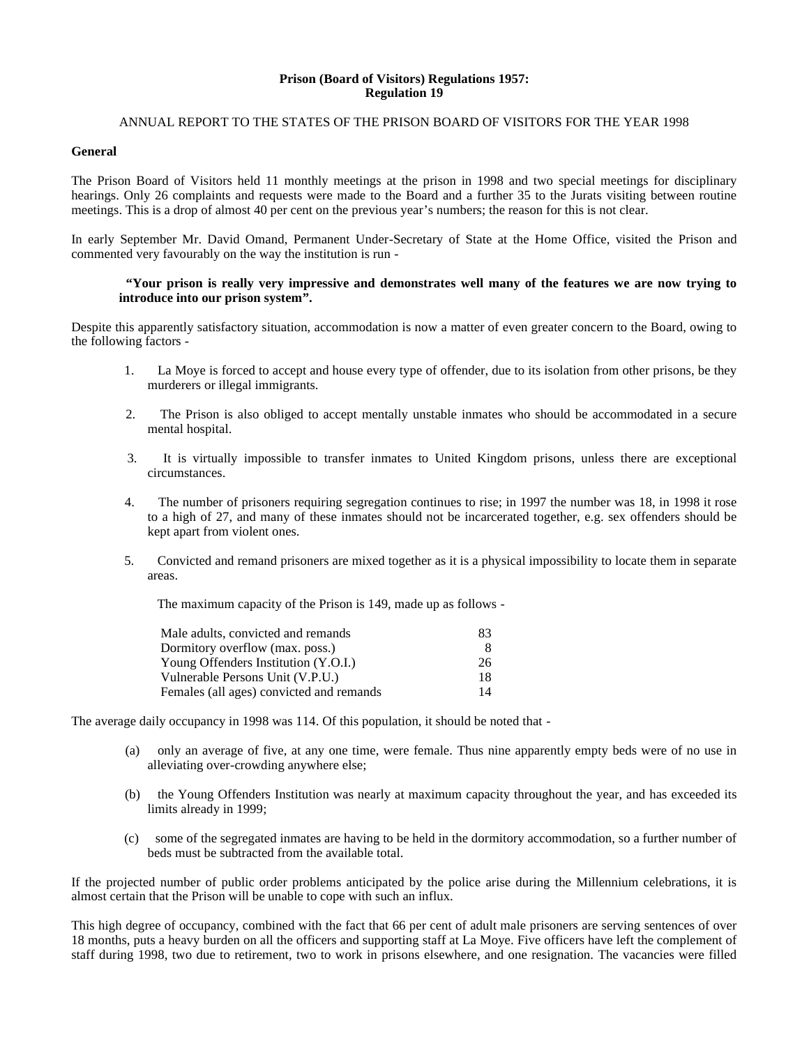#### **Prison (Board of Visitors) Regulations 1957: Regulation 19**

## ANNUAL REPORT TO THE STATES OF THE PRISON BOARD OF VISITORS FOR THE YEAR 1998

## **General**

The Prison Board of Visitors held 11 monthly meetings at the prison in 1998 and two special meetings for disciplinary hearings. Only 26 complaints and requests were made to the Board and a further 35 to the Jurats visiting between routine meetings. This is a drop of almost 40 per cent on the previous year's numbers; the reason for this is not clear.

In early September Mr. David Omand, Permanent Under-Secretary of State at the Home Office, visited the Prison and commented very favourably on the way the institution is run -

## **"Your prison is really very impressive and demonstrates well many of the features we are now trying to introduce into our prison system".**

Despite this apparently satisfactory situation, accommodation is now a matter of even greater concern to the Board, owing to the following factors -

- 1. La Moye is forced to accept and house every type of offender, due to its isolation from other prisons, be they murderers or illegal immigrants.
- 2. The Prison is also obliged to accept mentally unstable inmates who should be accommodated in a secure mental hospital.
- 3. It is virtually impossible to transfer inmates to United Kingdom prisons, unless there are exceptional circumstances.
- 4. The number of prisoners requiring segregation continues to rise; in 1997 the number was 18, in 1998 it rose to a high of 27, and many of these inmates should not be incarcerated together, e.g. sex offenders should be kept apart from violent ones.
- 5. Convicted and remand prisoners are mixed together as it is a physical impossibility to locate them in separate areas.

The maximum capacity of the Prison is 149, made up as follows -

| Male adults, convicted and remands       | 83 |
|------------------------------------------|----|
| Dormitory overflow (max. poss.)          | x  |
| Young Offenders Institution (Y.O.I.)     | 26 |
| Vulnerable Persons Unit (V.P.U.)         | 18 |
| Females (all ages) convicted and remands | 14 |

The average daily occupancy in 1998 was 114. Of this population, it should be noted that -

- (a) only an average of five, at any one time, were female. Thus nine apparently empty beds were of no use in alleviating over-crowding anywhere else;
- (b) the Young Offenders Institution was nearly at maximum capacity throughout the year, and has exceeded its limits already in 1999;
- (c) some of the segregated inmates are having to be held in the dormitory accommodation, so a further number of beds must be subtracted from the available total.

If the projected number of public order problems anticipated by the police arise during the Millennium celebrations, it is almost certain that the Prison will be unable to cope with such an influx.

This high degree of occupancy, combined with the fact that 66 per cent of adult male prisoners are serving sentences of over 18 months, puts a heavy burden on all the officers and supporting staff at La Moye. Five officers have left the complement of staff during 1998, two due to retirement, two to work in prisons elsewhere, and one resignation. The vacancies were filled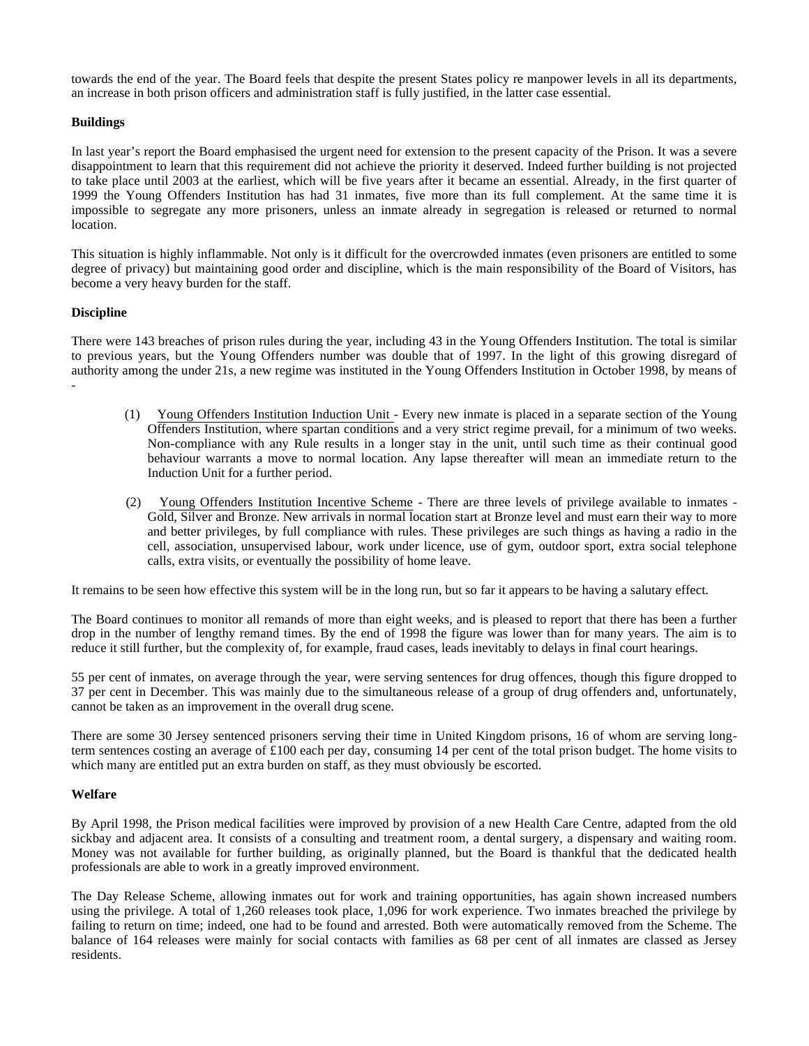towards the end of the year. The Board feels that despite the present States policy re manpower levels in all its departments, an increase in both prison officers and administration staff is fully justified, in the latter case essential.

## **Buildings**

In last year's report the Board emphasised the urgent need for extension to the present capacity of the Prison. It was a severe disappointment to learn that this requirement did not achieve the priority it deserved. Indeed further building is not projected to take place until 2003 at the earliest, which will be five years after it became an essential. Already, in the first quarter of 1999 the Young Offenders Institution has had 31 inmates, five more than its full complement. At the same time it is impossible to segregate any more prisoners, unless an inmate already in segregation is released or returned to normal location.

This situation is highly inflammable. Not only is it difficult for the overcrowded inmates (even prisoners are entitled to some degree of privacy) but maintaining good order and discipline, which is the main responsibility of the Board of Visitors, has become a very heavy burden for the staff.

## **Discipline**

-

There were 143 breaches of prison rules during the year, including 43 in the Young Offenders Institution. The total is similar to previous years, but the Young Offenders number was double that of 1997. In the light of this growing disregard of authority among the under 21s, a new regime was instituted in the Young Offenders Institution in October 1998, by means of

- (1) Young Offenders Institution Induction Unit Every new inmate is placed in a separate section of the Young Offenders Institution, where spartan conditions and a very strict regime prevail, for a minimum of two weeks. Non-compliance with any Rule results in a longer stay in the unit, until such time as their continual good behaviour warrants a move to normal location. Any lapse thereafter will mean an immediate return to the Induction Unit for a further period.
- (2) Young Offenders Institution Incentive Scheme There are three levels of privilege available to inmates Gold, Silver and Bronze. New arrivals in normal location start at Bronze level and must earn their way to more and better privileges, by full compliance with rules. These privileges are such things as having a radio in the cell, association, unsupervised labour, work under licence, use of gym, outdoor sport, extra social telephone calls, extra visits, or eventually the possibility of home leave.

It remains to be seen how effective this system will be in the long run, but so far it appears to be having a salutary effect.

The Board continues to monitor all remands of more than eight weeks, and is pleased to report that there has been a further drop in the number of lengthy remand times. By the end of 1998 the figure was lower than for many years. The aim is to reduce it still further, but the complexity of, for example, fraud cases, leads inevitably to delays in final court hearings.

55 per cent of inmates, on average through the year, were serving sentences for drug offences, though this figure dropped to 37 per cent in December. This was mainly due to the simultaneous release of a group of drug offenders and, unfortunately, cannot be taken as an improvement in the overall drug scene.

There are some 30 Jersey sentenced prisoners serving their time in United Kingdom prisons, 16 of whom are serving longterm sentences costing an average of £100 each per day, consuming 14 per cent of the total prison budget. The home visits to which many are entitled put an extra burden on staff, as they must obviously be escorted.

## **Welfare**

By April 1998, the Prison medical facilities were improved by provision of a new Health Care Centre, adapted from the old sickbay and adjacent area. It consists of a consulting and treatment room, a dental surgery, a dispensary and waiting room. Money was not available for further building, as originally planned, but the Board is thankful that the dedicated health professionals are able to work in a greatly improved environment.

The Day Release Scheme, allowing inmates out for work and training opportunities, has again shown increased numbers using the privilege. A total of 1,260 releases took place, 1,096 for work experience. Two inmates breached the privilege by failing to return on time; indeed, one had to be found and arrested. Both were automatically removed from the Scheme. The balance of 164 releases were mainly for social contacts with families as 68 per cent of all inmates are classed as Jersey residents.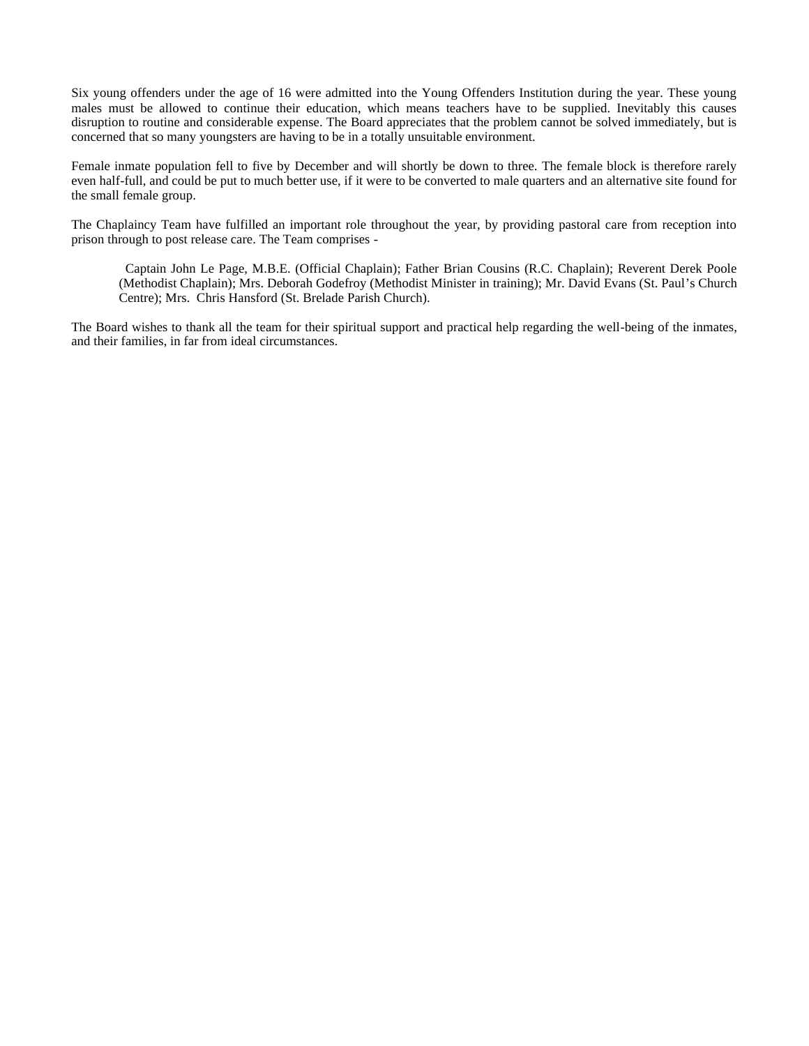Six young offenders under the age of 16 were admitted into the Young Offenders Institution during the year. These young males must be allowed to continue their education, which means teachers have to be supplied. Inevitably this causes disruption to routine and considerable expense. The Board appreciates that the problem cannot be solved immediately, but is concerned that so many youngsters are having to be in a totally unsuitable environment.

Female inmate population fell to five by December and will shortly be down to three. The female block is therefore rarely even half-full, and could be put to much better use, if it were to be converted to male quarters and an alternative site found for the small female group.

The Chaplaincy Team have fulfilled an important role throughout the year, by providing pastoral care from reception into prison through to post release care. The Team comprises -

 Captain John Le Page, M.B.E. (Official Chaplain); Father Brian Cousins (R.C. Chaplain); Reverent Derek Poole (Methodist Chaplain); Mrs. Deborah Godefroy (Methodist Minister in training); Mr. David Evans (St. Paul's Church Centre); Mrs. Chris Hansford (St. Brelade Parish Church).

The Board wishes to thank all the team for their spiritual support and practical help regarding the well-being of the inmates, and their families, in far from ideal circumstances.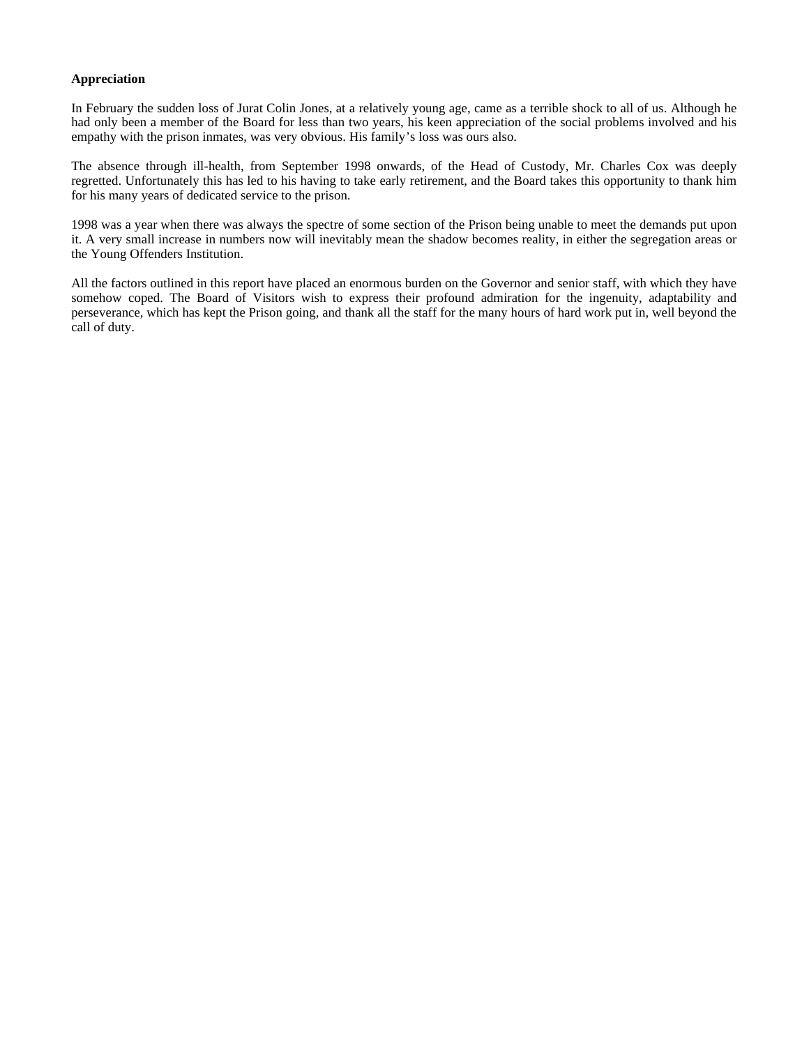## **Appreciation**

In February the sudden loss of Jurat Colin Jones, at a relatively young age, came as a terrible shock to all of us. Although he had only been a member of the Board for less than two years, his keen appreciation of the social problems involved and his empathy with the prison inmates, was very obvious. His family's loss was ours also.

The absence through ill-health, from September 1998 onwards, of the Head of Custody, Mr. Charles Cox was deeply regretted. Unfortunately this has led to his having to take early retirement, and the Board takes this opportunity to thank him for his many years of dedicated service to the prison.

1998 was a year when there was always the spectre of some section of the Prison being unable to meet the demands put upon it. A very small increase in numbers now will inevitably mean the shadow becomes reality, in either the segregation areas or the Young Offenders Institution.

All the factors outlined in this report have placed an enormous burden on the Governor and senior staff, with which they have somehow coped. The Board of Visitors wish to express their profound admiration for the ingenuity, adaptability and perseverance, which has kept the Prison going, and thank all the staff for the many hours of hard work put in, well beyond the call of duty.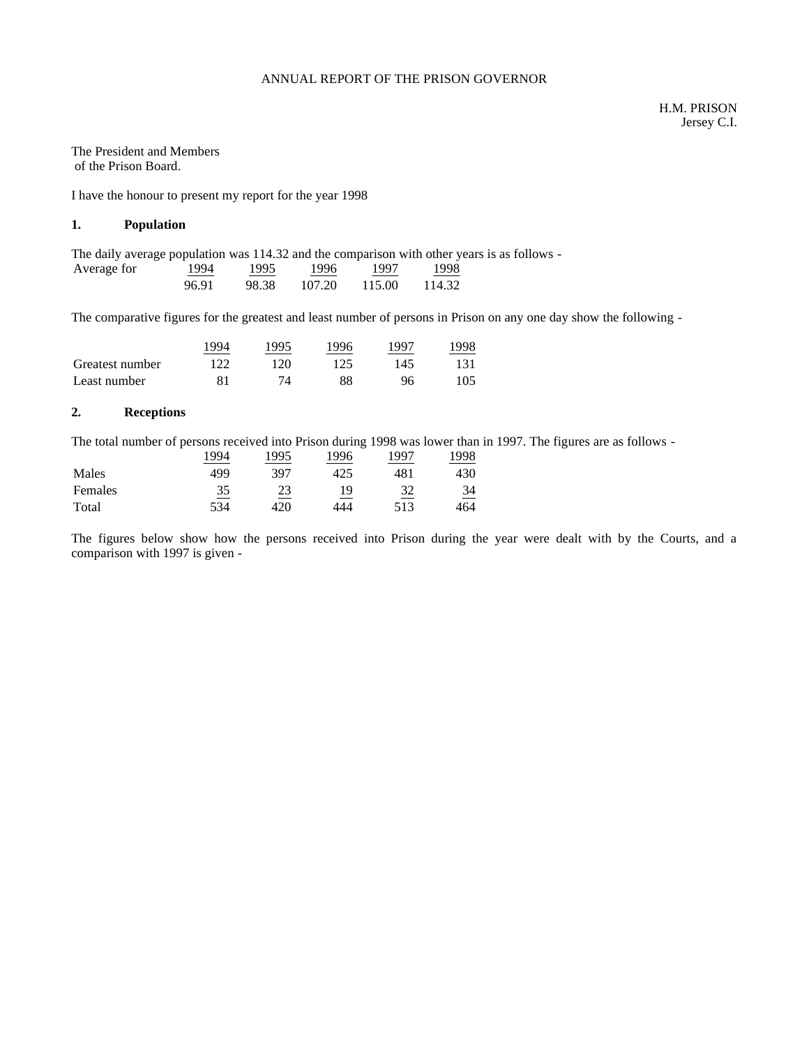## ANNUAL REPORT OF THE PRISON GOVERNOR

#### The President and Members of the Prison Board.

I have the honour to present my report for the year 1998

## **1. Population**

The daily average population was 114.32 and the comparison with other years is as follows -

| Average for | 1994  | 1995  | 1996   | 1997   | 1998   |
|-------------|-------|-------|--------|--------|--------|
|             | 96.91 | 98.38 | 107.20 | 115.00 | 114.32 |

The comparative figures for the greatest and least number of persons in Prison on any one day show the following -

|                 | $\overline{994}$ | 1995 | 1996 | 1997 | 1998 |
|-----------------|------------------|------|------|------|------|
| Greatest number | 122              | 120  | 125  | 145  |      |
| Least number    | 81               |      | 88   | 96   | 105  |

## **2. Receptions**

The total number of persons received into Prison during 1998 was lower than in 1997. The figures are as follows -

|         | 1994 | 1995 | 1996 | 1997 | 1998 |
|---------|------|------|------|------|------|
| Males   | 499  | 397  | 425  | 481  | 430  |
| Females | 35   | 23   | 19   | 32   | 34   |
| Total   | 534  | 420  | 444  | 513  | 464  |

The figures below show how the persons received into Prison during the year were dealt with by the Courts, and a comparison with 1997 is given -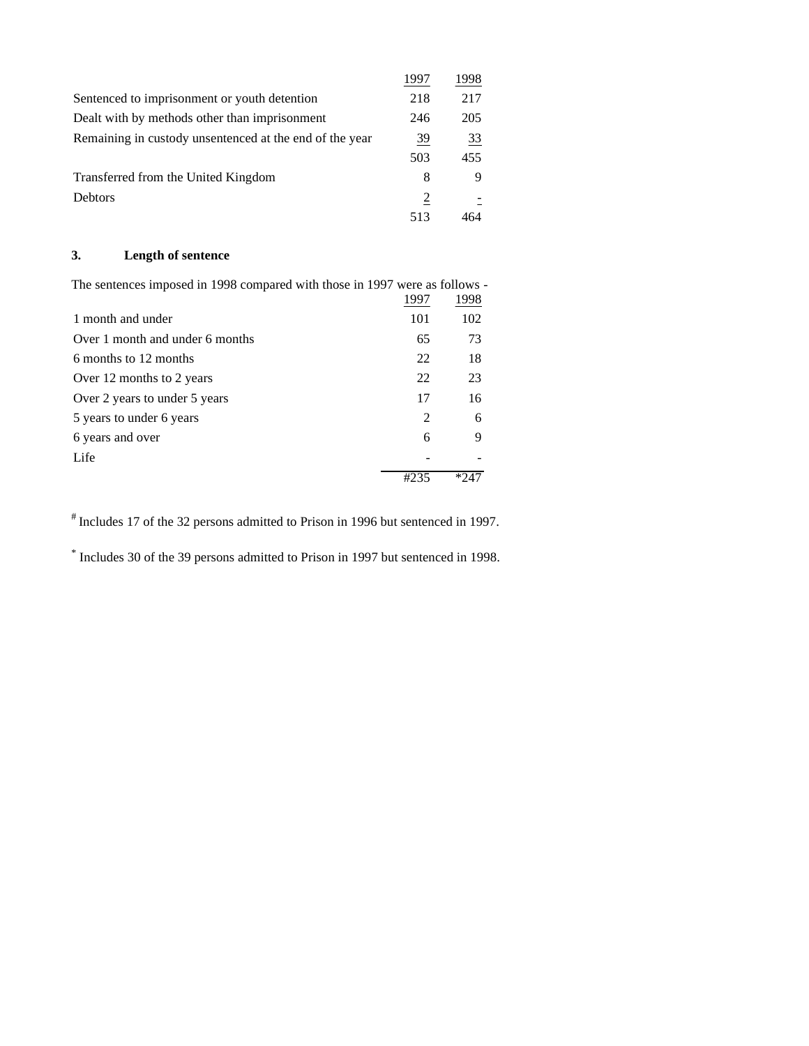|                                                         | 1997 | 1998 |
|---------------------------------------------------------|------|------|
| Sentenced to imprisonment or youth detention            | 218  | 217  |
| Dealt with by methods other than imprisonment           | 246  | 205  |
| Remaining in custody unsentenced at the end of the year | 39   | 33   |
|                                                         | 503  | 455  |
| Transferred from the United Kingdom                     | 8    | 9    |
| <b>Debtors</b>                                          | 2    |      |
|                                                         | 513  |      |

# **3. Length of sentence**

The sentences imposed in 1998 compared with those in 1997 were as follows -

|                                 | 1997                        | 1998 |
|---------------------------------|-----------------------------|------|
| 1 month and under               | 101                         | 102  |
| Over 1 month and under 6 months | 65                          | 73   |
| 6 months to 12 months           | 22                          | 18   |
| Over 12 months to 2 years       | 22                          | 23   |
| Over 2 years to under 5 years   | 17                          | 16   |
| 5 years to under 6 years        | $\mathcal{D}_{\mathcal{L}}$ | 6    |
| 6 years and over                | 6                           | 9    |
| Life                            |                             |      |
|                                 |                             |      |

# Includes 17 of the 32 persons admitted to Prison in 1996 but sentenced in 1997.

\* Includes 30 of the 39 persons admitted to Prison in 1997 but sentenced in 1998.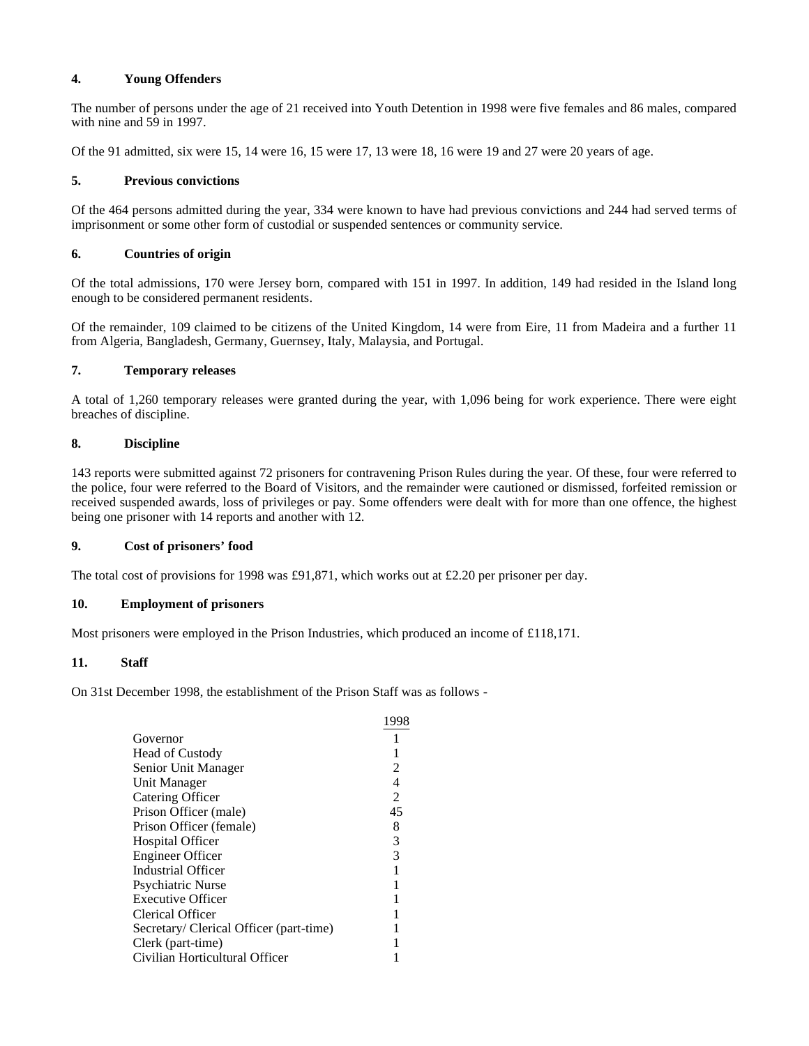# **4. Young Offenders**

The number of persons under the age of 21 received into Youth Detention in 1998 were five females and 86 males, compared with nine and 59 in 1997.

Of the 91 admitted, six were 15, 14 were 16, 15 were 17, 13 were 18, 16 were 19 and 27 were 20 years of age.

## **5. Previous convictions**

Of the 464 persons admitted during the year, 334 were known to have had previous convictions and 244 had served terms of imprisonment or some other form of custodial or suspended sentences or community service.

## **6. Countries of origin**

Of the total admissions, 170 were Jersey born, compared with 151 in 1997. In addition, 149 had resided in the Island long enough to be considered permanent residents.

Of the remainder, 109 claimed to be citizens of the United Kingdom, 14 were from Eire, 11 from Madeira and a further 11 from Algeria, Bangladesh, Germany, Guernsey, Italy, Malaysia, and Portugal.

## **7. Temporary releases**

A total of 1,260 temporary releases were granted during the year, with 1,096 being for work experience. There were eight breaches of discipline.

## **8. Discipline**

143 reports were submitted against 72 prisoners for contravening Prison Rules during the year. Of these, four were referred to the police, four were referred to the Board of Visitors, and the remainder were cautioned or dismissed, forfeited remission or received suspended awards, loss of privileges or pay. Some offenders were dealt with for more than one offence, the highest being one prisoner with 14 reports and another with 12.

## **9. Cost of prisoners' food**

The total cost of provisions for 1998 was £91,871, which works out at £2.20 per prisoner per day.

## **10. Employment of prisoners**

Most prisoners were employed in the Prison Industries, which produced an income of £118,171.

## **11. Staff**

On 31st December 1998, the establishment of the Prison Staff was as follows -

|                                         | 1998 |
|-----------------------------------------|------|
| Governor                                |      |
| <b>Head of Custody</b>                  |      |
| Senior Unit Manager                     | 2    |
| Unit Manager                            | 4    |
| <b>Catering Officer</b>                 | 2    |
| Prison Officer (male)                   | 45   |
| Prison Officer (female)                 | 8    |
| <b>Hospital Officer</b>                 | 3    |
| <b>Engineer Officer</b>                 | 3    |
| Industrial Officer                      |      |
| <b>Psychiatric Nurse</b>                |      |
| <b>Executive Officer</b>                |      |
| Clerical Officer                        |      |
| Secretary/ Clerical Officer (part-time) |      |
| Clerk (part-time)                       |      |
| Civilian Horticultural Officer          |      |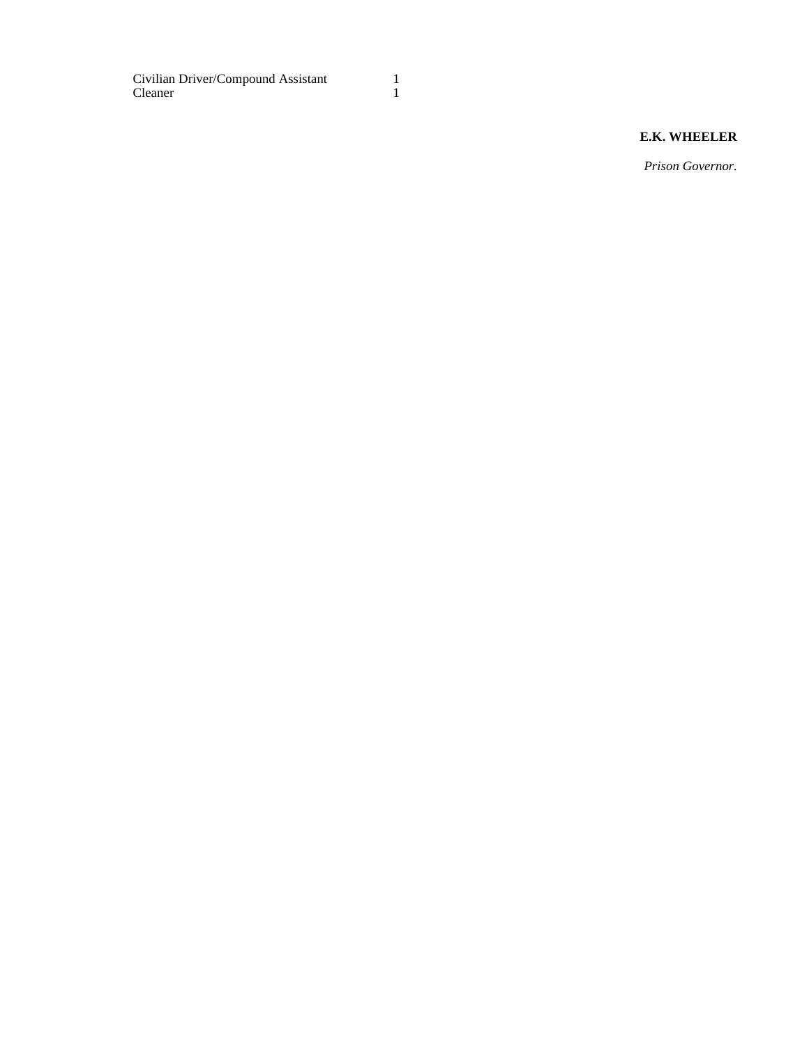Civilian Driver/Compound Assistant 1<br>Cleaner 1 Cleaner

# **E.K. WHEELER**

*Prison Governor.*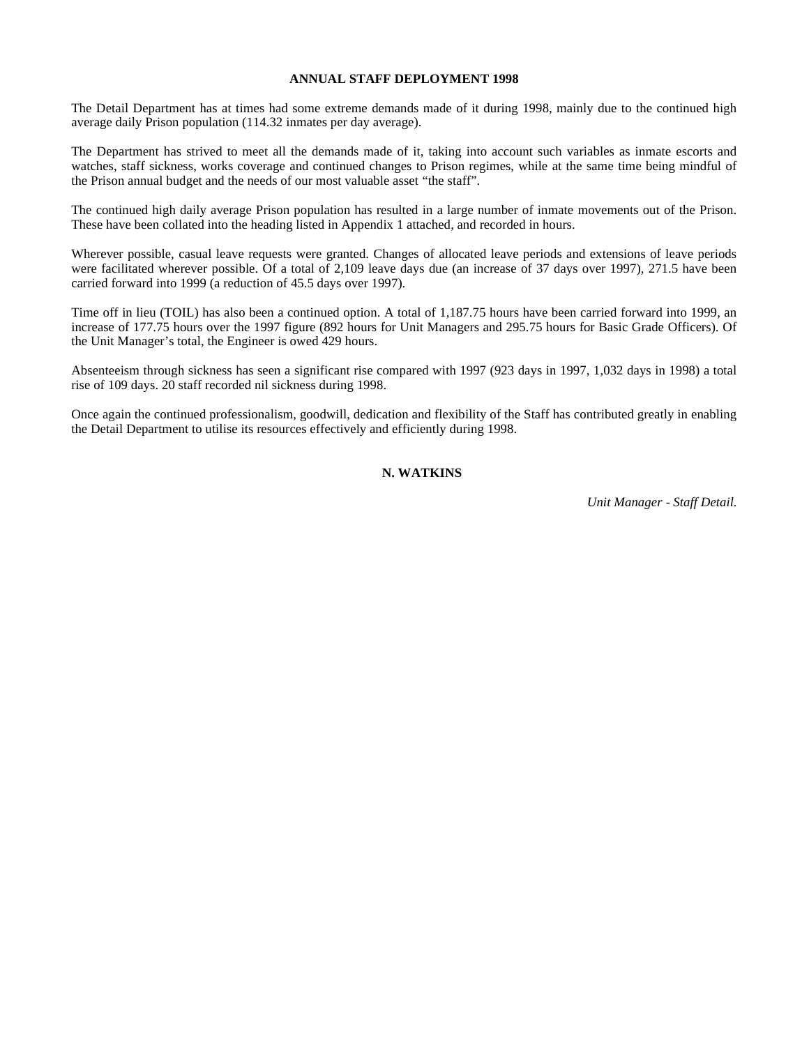#### **ANNUAL STAFF DEPLOYMENT 1998**

The Detail Department has at times had some extreme demands made of it during 1998, mainly due to the continued high average daily Prison population (114.32 inmates per day average).

The Department has strived to meet all the demands made of it, taking into account such variables as inmate escorts and watches, staff sickness, works coverage and continued changes to Prison regimes, while at the same time being mindful of the Prison annual budget and the needs of our most valuable asset "the staff".

The continued high daily average Prison population has resulted in a large number of inmate movements out of the Prison. These have been collated into the heading listed in Appendix 1 attached, and recorded in hours.

Wherever possible, casual leave requests were granted. Changes of allocated leave periods and extensions of leave periods were facilitated wherever possible. Of a total of 2,109 leave days due (an increase of 37 days over 1997), 271.5 have been carried forward into 1999 (a reduction of 45.5 days over 1997).

Time off in lieu (TOIL) has also been a continued option. A total of 1,187.75 hours have been carried forward into 1999, an increase of 177.75 hours over the 1997 figure (892 hours for Unit Managers and 295.75 hours for Basic Grade Officers). Of the Unit Manager's total, the Engineer is owed 429 hours.

Absenteeism through sickness has seen a significant rise compared with 1997 (923 days in 1997, 1,032 days in 1998) a total rise of 109 days. 20 staff recorded nil sickness during 1998.

Once again the continued professionalism, goodwill, dedication and flexibility of the Staff has contributed greatly in enabling the Detail Department to utilise its resources effectively and efficiently during 1998.

## **N. WATKINS**

*Unit Manager - Staff Detail.*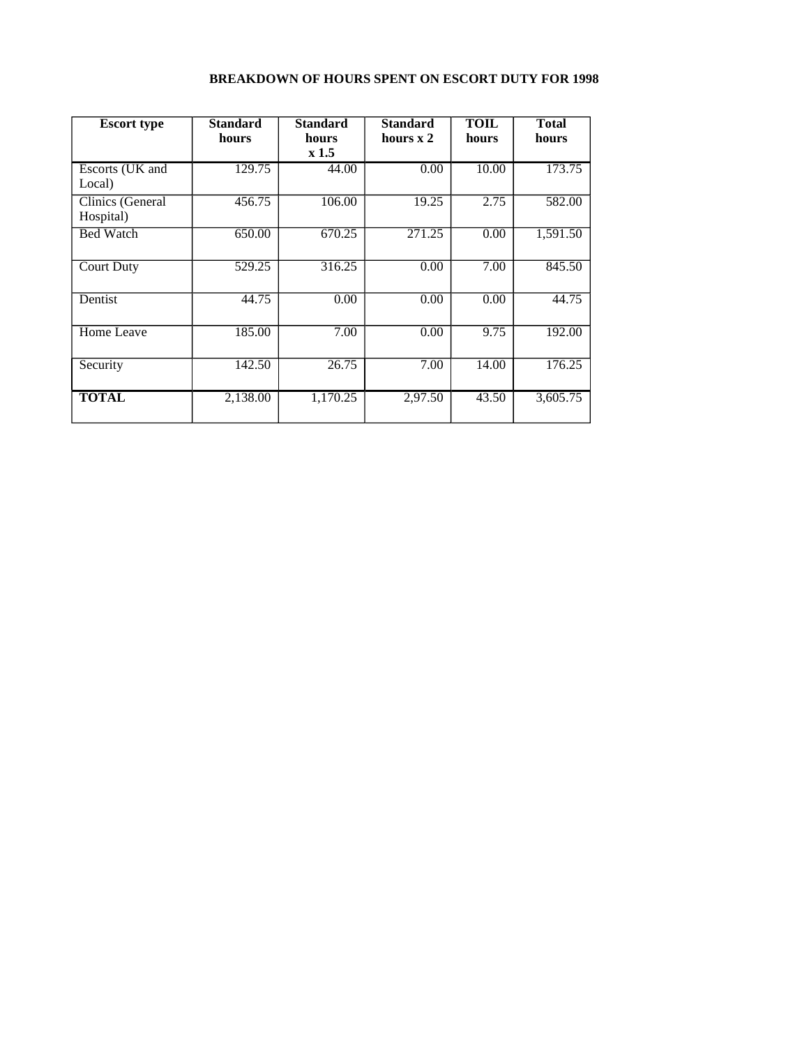# **BREAKDOWN OF HOURS SPENT ON ESCORT DUTY FOR 1998**

| <b>Escort type</b>            | <b>Standard</b><br>hours | <b>Standard</b><br>hours<br>x1.5 | <b>Standard</b><br>hours $x$ 2 | <b>TOIL</b><br>hours | <b>Total</b><br>hours |
|-------------------------------|--------------------------|----------------------------------|--------------------------------|----------------------|-----------------------|
| Escorts (UK and<br>Local)     | 129.75                   | 44.00                            | 0.00                           | 10.00                | 173.75                |
| Clinics (General<br>Hospital) | 456.75                   | 106.00                           | 19.25                          | 2.75                 | 582.00                |
| <b>Bed Watch</b>              | 650.00                   | 670.25                           | 271.25                         | 0.00                 | 1,591.50              |
| <b>Court Duty</b>             | 529.25                   | 316.25                           | 0.00                           | 7.00                 | 845.50                |
| Dentist                       | 44.75                    | 0.00                             | 0.00                           | 0.00                 | 44.75                 |
| Home Leave                    | 185.00                   | 7.00                             | 0.00                           | 9.75                 | 192.00                |
| Security                      | 142.50                   | 26.75                            | 7.00                           | 14.00                | 176.25                |
| <b>TOTAL</b>                  | 2,138.00                 | 1,170.25                         | 2,97.50                        | 43.50                | 3,605.75              |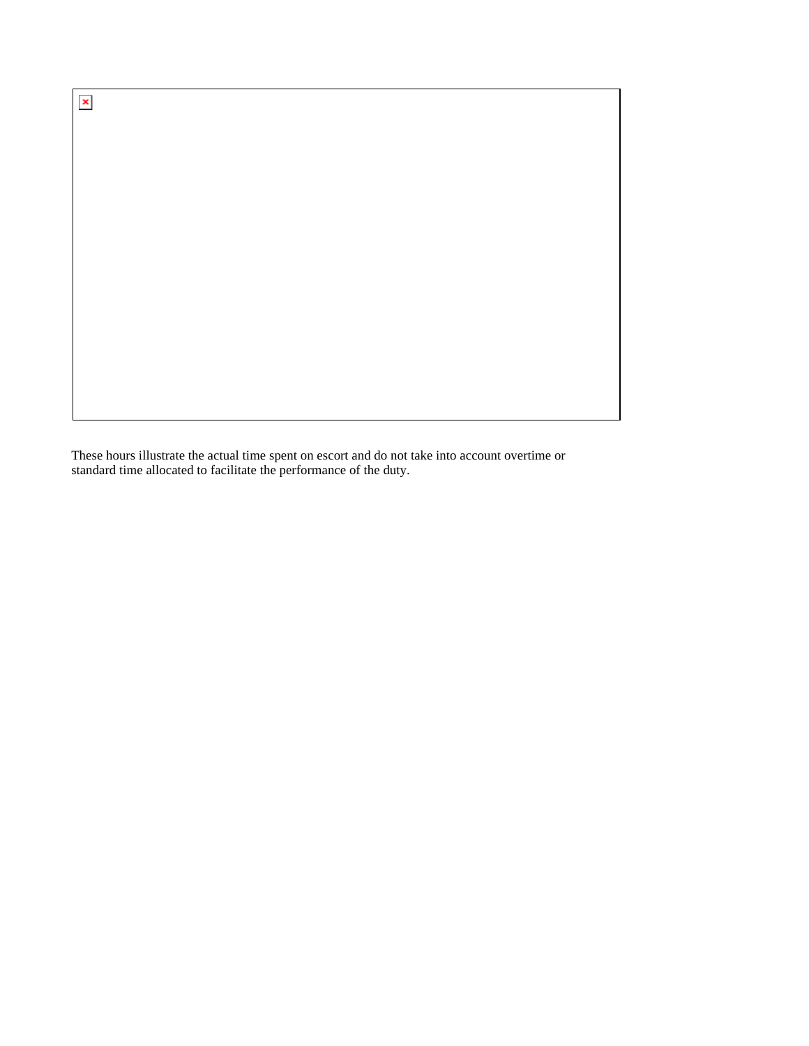$\pmb{\times}$ 

These hours illustrate the actual time spent on escort and do not take into account overtime or standard time allocated to facilitate the performance of the duty.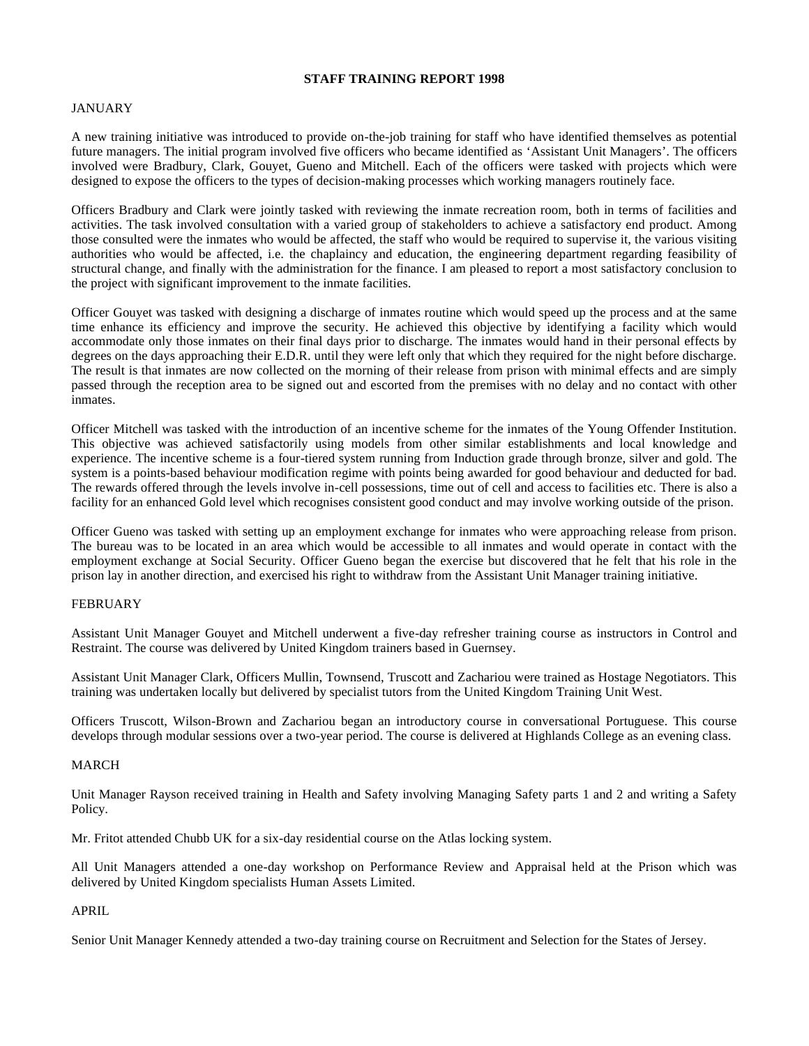#### **STAFF TRAINING REPORT 1998**

## JANUARY

A new training initiative was introduced to provide on-the-job training for staff who have identified themselves as potential future managers. The initial program involved five officers who became identified as 'Assistant Unit Managers'. The officers involved were Bradbury, Clark, Gouyet, Gueno and Mitchell. Each of the officers were tasked with projects which were designed to expose the officers to the types of decision-making processes which working managers routinely face.

Officers Bradbury and Clark were jointly tasked with reviewing the inmate recreation room, both in terms of facilities and activities. The task involved consultation with a varied group of stakeholders to achieve a satisfactory end product. Among those consulted were the inmates who would be affected, the staff who would be required to supervise it, the various visiting authorities who would be affected, i.e. the chaplaincy and education, the engineering department regarding feasibility of structural change, and finally with the administration for the finance. I am pleased to report a most satisfactory conclusion to the project with significant improvement to the inmate facilities.

Officer Gouyet was tasked with designing a discharge of inmates routine which would speed up the process and at the same time enhance its efficiency and improve the security. He achieved this objective by identifying a facility which would accommodate only those inmates on their final days prior to discharge. The inmates would hand in their personal effects by degrees on the days approaching their E.D.R. until they were left only that which they required for the night before discharge. The result is that inmates are now collected on the morning of their release from prison with minimal effects and are simply passed through the reception area to be signed out and escorted from the premises with no delay and no contact with other inmates.

Officer Mitchell was tasked with the introduction of an incentive scheme for the inmates of the Young Offender Institution. This objective was achieved satisfactorily using models from other similar establishments and local knowledge and experience. The incentive scheme is a four-tiered system running from Induction grade through bronze, silver and gold. The system is a points-based behaviour modification regime with points being awarded for good behaviour and deducted for bad. The rewards offered through the levels involve in-cell possessions, time out of cell and access to facilities etc. There is also a facility for an enhanced Gold level which recognises consistent good conduct and may involve working outside of the prison.

Officer Gueno was tasked with setting up an employment exchange for inmates who were approaching release from prison. The bureau was to be located in an area which would be accessible to all inmates and would operate in contact with the employment exchange at Social Security. Officer Gueno began the exercise but discovered that he felt that his role in the prison lay in another direction, and exercised his right to withdraw from the Assistant Unit Manager training initiative.

## FEBRUARY

Assistant Unit Manager Gouyet and Mitchell underwent a five-day refresher training course as instructors in Control and Restraint. The course was delivered by United Kingdom trainers based in Guernsey.

Assistant Unit Manager Clark, Officers Mullin, Townsend, Truscott and Zachariou were trained as Hostage Negotiators. This training was undertaken locally but delivered by specialist tutors from the United Kingdom Training Unit West.

Officers Truscott, Wilson-Brown and Zachariou began an introductory course in conversational Portuguese. This course develops through modular sessions over a two-year period. The course is delivered at Highlands College as an evening class.

## MARCH

Unit Manager Rayson received training in Health and Safety involving Managing Safety parts 1 and 2 and writing a Safety Policy.

Mr. Fritot attended Chubb UK for a six-day residential course on the Atlas locking system.

All Unit Managers attended a one-day workshop on Performance Review and Appraisal held at the Prison which was delivered by United Kingdom specialists Human Assets Limited.

## APRIL

Senior Unit Manager Kennedy attended a two-day training course on Recruitment and Selection for the States of Jersey.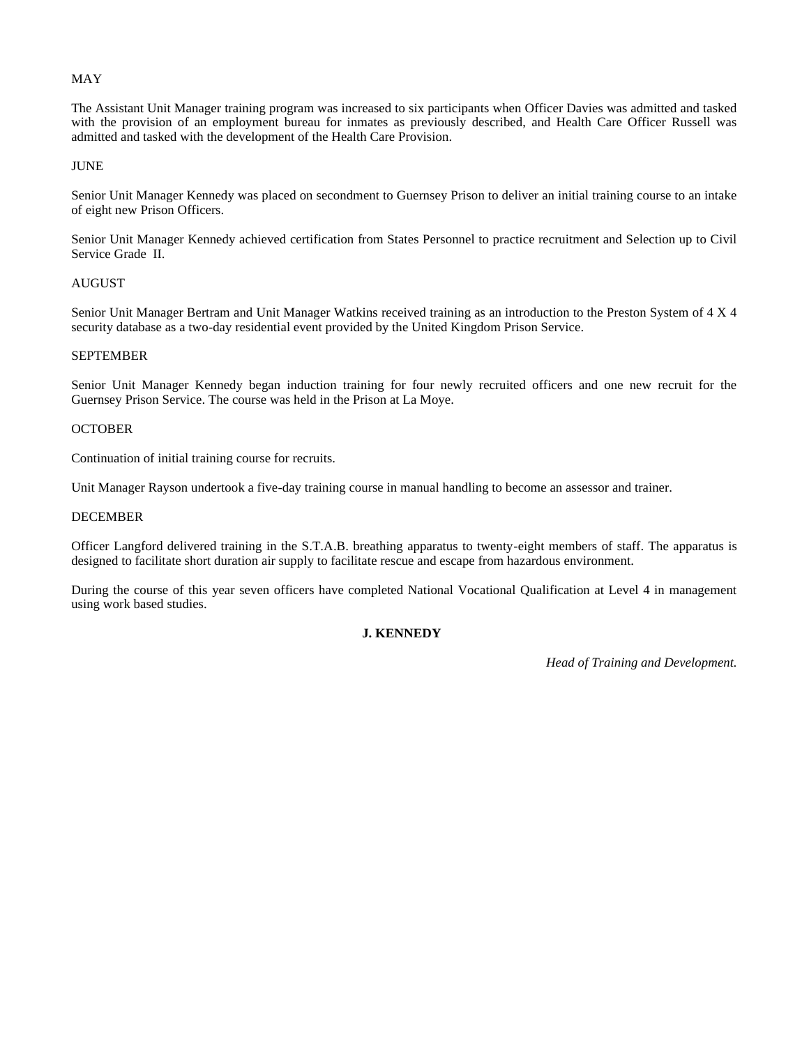## MAY

The Assistant Unit Manager training program was increased to six participants when Officer Davies was admitted and tasked with the provision of an employment bureau for inmates as previously described, and Health Care Officer Russell was admitted and tasked with the development of the Health Care Provision.

## JUNE

Senior Unit Manager Kennedy was placed on secondment to Guernsey Prison to deliver an initial training course to an intake of eight new Prison Officers.

Senior Unit Manager Kennedy achieved certification from States Personnel to practice recruitment and Selection up to Civil Service Grade II.

#### AUGUST

Senior Unit Manager Bertram and Unit Manager Watkins received training as an introduction to the Preston System of 4 X 4 security database as a two-day residential event provided by the United Kingdom Prison Service.

## SEPTEMBER

Senior Unit Manager Kennedy began induction training for four newly recruited officers and one new recruit for the Guernsey Prison Service. The course was held in the Prison at La Moye.

## **OCTOBER**

Continuation of initial training course for recruits.

Unit Manager Rayson undertook a five-day training course in manual handling to become an assessor and trainer.

## DECEMBER

Officer Langford delivered training in the S.T.A.B. breathing apparatus to twenty-eight members of staff. The apparatus is designed to facilitate short duration air supply to facilitate rescue and escape from hazardous environment.

During the course of this year seven officers have completed National Vocational Qualification at Level 4 in management using work based studies.

## **J. KENNEDY**

*Head of Training and Development.*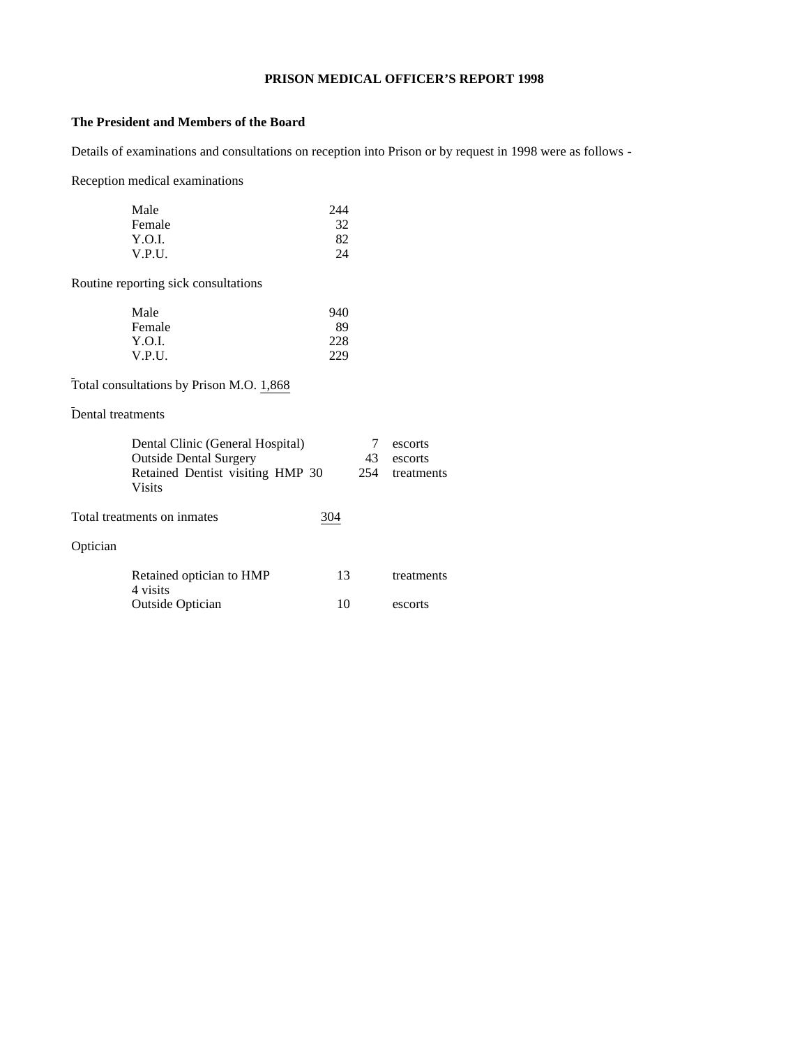## **PRISON MEDICAL OFFICER'S REPORT 1998**

## **The President and Members of the Board**

Details of examinations and consultations on reception into Prison or by request in 1998 were as follows -

Reception medical examinations

| Male   | 244 |
|--------|-----|
| Female | 32  |
| Y.O.I. | 82  |
| V.P.U. | 24  |

Routine reporting sick consultations

| Male   | 940 |
|--------|-----|
| Female | 89  |
| Y.O.I. | 228 |
| V.P.U. | 229 |

Total consultations by Prison M.O. 1,868

Dental treatments

| Dental Clinic (General Hospital)<br><b>Outside Dental Surgery</b><br>Retained Dentist visiting HMP 30<br><b>Visits</b> | 43<br>254 | escorts<br>escorts<br>treatments |
|------------------------------------------------------------------------------------------------------------------------|-----------|----------------------------------|
| Total treatments on inmates                                                                                            | 304       |                                  |
| Optician                                                                                                               |           |                                  |
| Retained optician to HMP<br>4 visits                                                                                   | 13        | treatments                       |
| <b>Outside Optician</b>                                                                                                | 10        | escorts                          |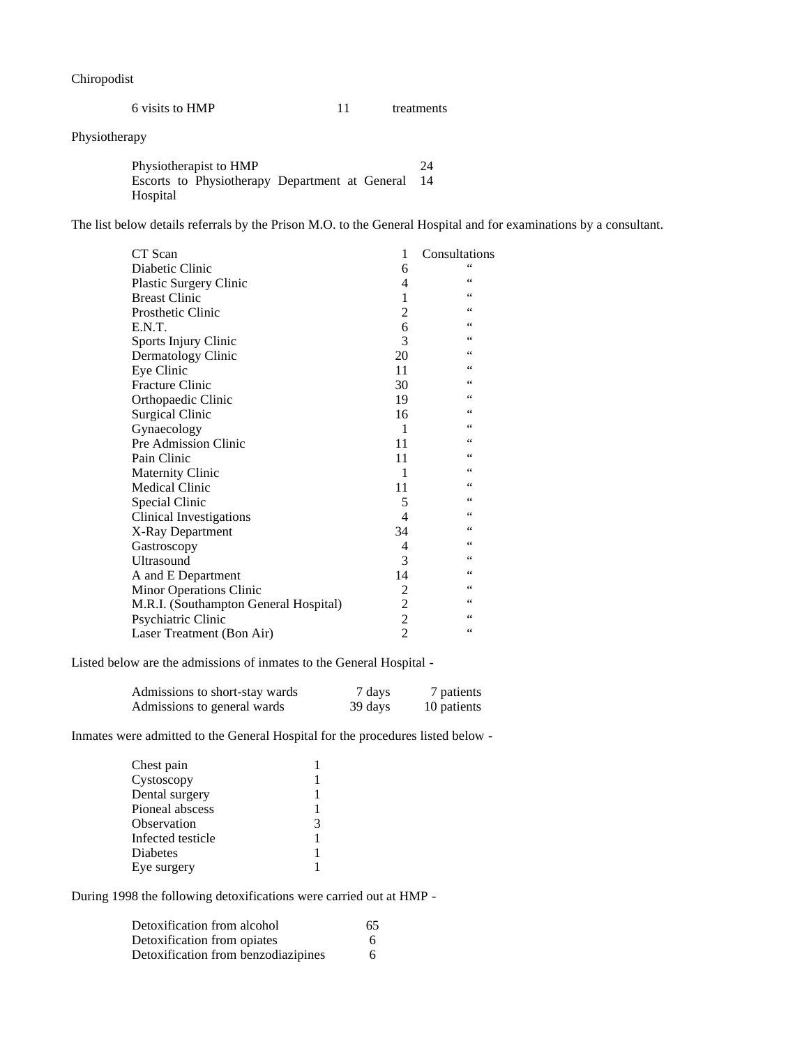Chiropodist

| 6 visits to HMP |  | treatments |
|-----------------|--|------------|
|-----------------|--|------------|

# Physiotherapy

| Physiotherapist to HMP |                                                |  | 24  |
|------------------------|------------------------------------------------|--|-----|
|                        | Escorts to Physiotherapy Department at General |  | -14 |
| Hospital               |                                                |  |     |

The list below details referrals by the Prison M.O. to the General Hospital and for examinations by a consultant.

| CT Scan                               | 1              | Consultations   |
|---------------------------------------|----------------|-----------------|
| Diabetic Clinic                       | 6              | 66              |
| <b>Plastic Surgery Clinic</b>         | 4              | 66              |
| <b>Breast Clinic</b>                  | 1              | 66              |
| Prosthetic Clinic                     | $\overline{c}$ | 66              |
| E.N.T.                                | 6              | $\zeta$ $\zeta$ |
| Sports Injury Clinic                  | 3              | 66              |
| Dermatology Clinic                    | 20             | 66              |
| Eye Clinic                            | 11             | 66              |
| <b>Fracture Clinic</b>                | 30             | 66              |
| Orthopaedic Clinic                    | 19             | $\zeta$ $\zeta$ |
| <b>Surgical Clinic</b>                | 16             | 66              |
| Gynaecology                           | 1              | $\zeta$ $\zeta$ |
| Pre Admission Clinic                  | 11             | 66              |
| Pain Clinic                           | 11             | 66              |
| <b>Maternity Clinic</b>               | 1              | 66              |
| <b>Medical Clinic</b>                 | 11             | 66              |
| Special Clinic                        | 5              | 66              |
| <b>Clinical Investigations</b>        | 4              | 66              |
| X-Ray Department                      | 34             | $\zeta$ $\zeta$ |
| Gastroscopy                           | 4              | 66              |
| Ultrasound                            | 3              | 66              |
| A and E Department                    | 14             | $\zeta$ $\zeta$ |
| Minor Operations Clinic               | 2              | 66              |
| M.R.I. (Southampton General Hospital) | $\overline{c}$ | 66              |
| Psychiatric Clinic                    | $\overline{c}$ | 66              |
| Laser Treatment (Bon Air)             | $\overline{2}$ | 66              |

Listed below are the admissions of inmates to the General Hospital -

| Admissions to short-stay wards | 7 days  | 7 patients  |
|--------------------------------|---------|-------------|
| Admissions to general wards    | 39 days | 10 patients |

Inmates were admitted to the General Hospital for the procedures listed below -

| Chest pain        |   |
|-------------------|---|
| Cystoscopy        |   |
| Dental surgery    |   |
| Pioneal abscess   |   |
| Observation       | 3 |
| Infected testicle |   |
| <b>Diabetes</b>   |   |
| Eye surgery       |   |

During 1998 the following detoxifications were carried out at HMP -

| Detoxification from alcohol         | 65 |
|-------------------------------------|----|
| Detoxification from opiates         | 6. |
| Detoxification from benzodiazipines | 6. |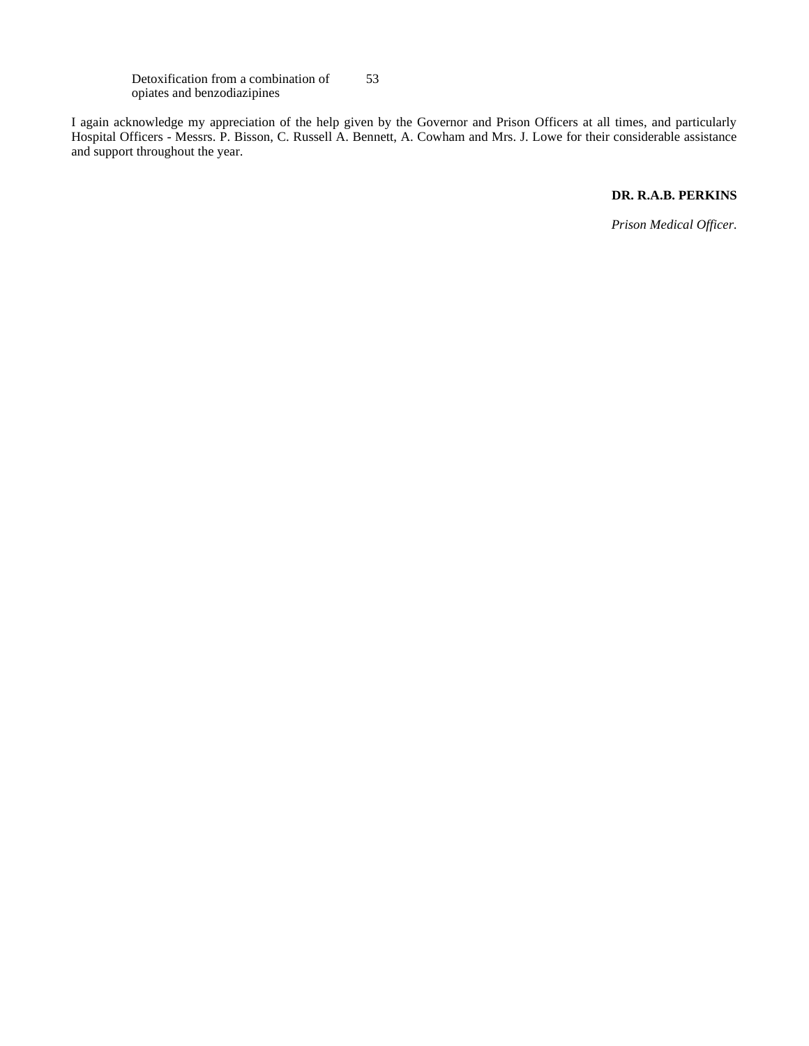Detoxification from a combination of opiates and benzodiazipines 53

I again acknowledge my appreciation of the help given by the Governor and Prison Officers at all times, and particularly Hospital Officers - Messrs. P. Bisson, C. Russell A. Bennett, A. Cowham and Mrs. J. Lowe for their considerable assistance and support throughout the year.

## **DR. R.A.B. PERKINS**

*Prison Medical Officer.*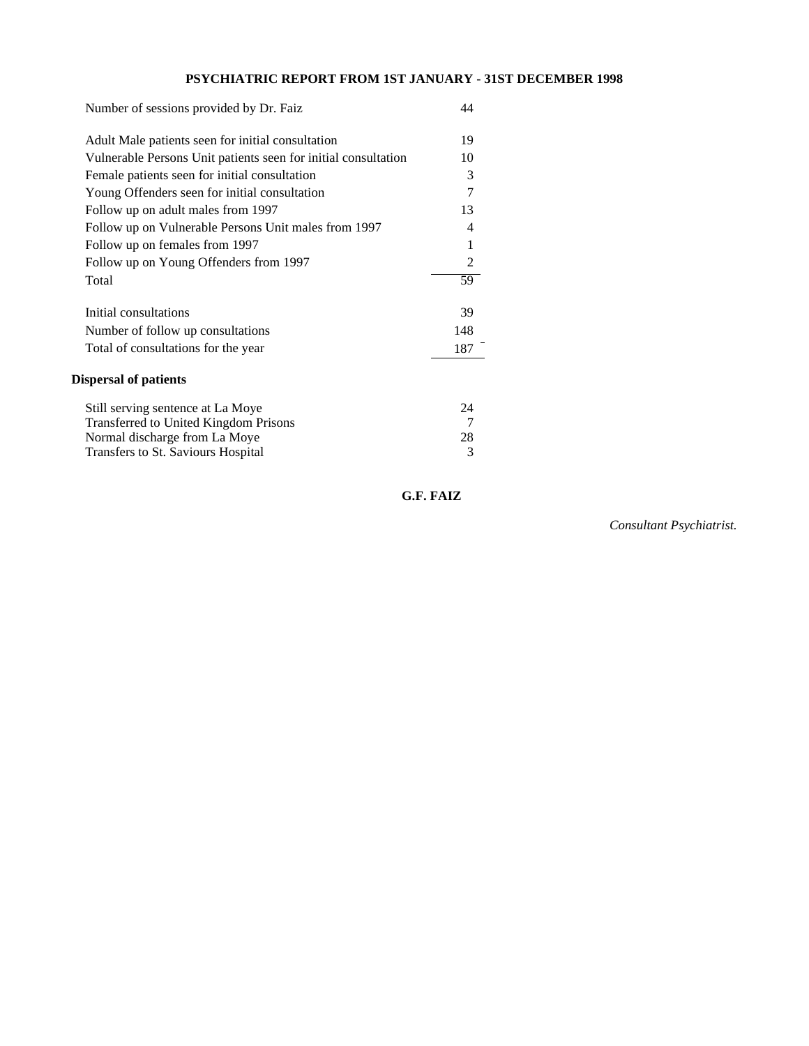# **PSYCHIATRIC REPORT FROM 1ST JANUARY - 31ST DECEMBER 1998**

| Number of sessions provided by Dr. Faiz                                                                                                                  | 44                 |
|----------------------------------------------------------------------------------------------------------------------------------------------------------|--------------------|
| Adult Male patients seen for initial consultation                                                                                                        | 19                 |
| Vulnerable Persons Unit patients seen for initial consultation                                                                                           | 10                 |
| Female patients seen for initial consultation                                                                                                            | 3                  |
| Young Offenders seen for initial consultation                                                                                                            | 7                  |
| Follow up on adult males from 1997                                                                                                                       | 13                 |
| Follow up on Vulnerable Persons Unit males from 1997                                                                                                     | 4                  |
| Follow up on females from 1997                                                                                                                           | 1                  |
| Follow up on Young Offenders from 1997                                                                                                                   | 2                  |
| Total                                                                                                                                                    | 59                 |
| Initial consultations                                                                                                                                    | 39                 |
| Number of follow up consultations                                                                                                                        | 148                |
| Total of consultations for the year                                                                                                                      | 187                |
| <b>Dispersal of patients</b>                                                                                                                             |                    |
| Still serving sentence at La Moye<br><b>Transferred to United Kingdom Prisons</b><br>Normal discharge from La Moye<br>Transfers to St. Saviours Hospital | 24<br>7<br>28<br>3 |

 **G.F. FAIZ**

*Consultant Psychiatrist.*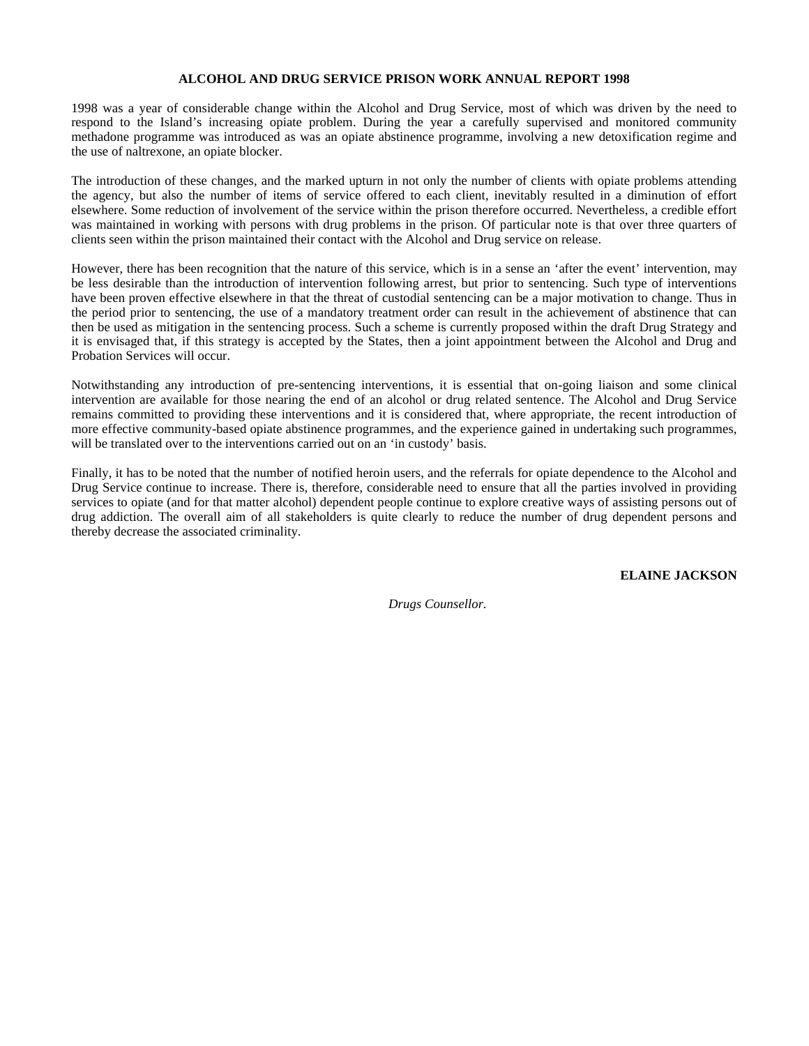## **ALCOHOL AND DRUG SERVICE PRISON WORK ANNUAL REPORT 1998**

1998 was a year of considerable change within the Alcohol and Drug Service, most of which was driven by the need to respond to the Island's increasing opiate problem. During the year a carefully supervised and monitored community methadone programme was introduced as was an opiate abstinence programme, involving a new detoxification regime and the use of naltrexone, an opiate blocker.

The introduction of these changes, and the marked upturn in not only the number of clients with opiate problems attending the agency, but also the number of items of service offered to each client, inevitably resulted in a diminution of effort elsewhere. Some reduction of involvement of the service within the prison therefore occurred. Nevertheless, a credible effort was maintained in working with persons with drug problems in the prison. Of particular note is that over three quarters of clients seen within the prison maintained their contact with the Alcohol and Drug service on release.

However, there has been recognition that the nature of this service, which is in a sense an 'after the event' intervention, may be less desirable than the introduction of intervention following arrest, but prior to sentencing. Such type of interventions have been proven effective elsewhere in that the threat of custodial sentencing can be a major motivation to change. Thus in the period prior to sentencing, the use of a mandatory treatment order can result in the achievement of abstinence that can then be used as mitigation in the sentencing process. Such a scheme is currently proposed within the draft Drug Strategy and it is envisaged that, if this strategy is accepted by the States, then a joint appointment between the Alcohol and Drug and Probation Services will occur.

Notwithstanding any introduction of pre-sentencing interventions, it is essential that on-going liaison and some clinical intervention are available for those nearing the end of an alcohol or drug related sentence. The Alcohol and Drug Service remains committed to providing these interventions and it is considered that, where appropriate, the recent introduction of more effective community-based opiate abstinence programmes, and the experience gained in undertaking such programmes, will be translated over to the interventions carried out on an 'in custody' basis.

Finally, it has to be noted that the number of notified heroin users, and the referrals for opiate dependence to the Alcohol and Drug Service continue to increase. There is, therefore, considerable need to ensure that all the parties involved in providing services to opiate (and for that matter alcohol) dependent people continue to explore creative ways of assisting persons out of drug addiction. The overall aim of all stakeholders is quite clearly to reduce the number of drug dependent persons and thereby decrease the associated criminality.

**ELAINE JACKSON**

 *Drugs Counsellor.*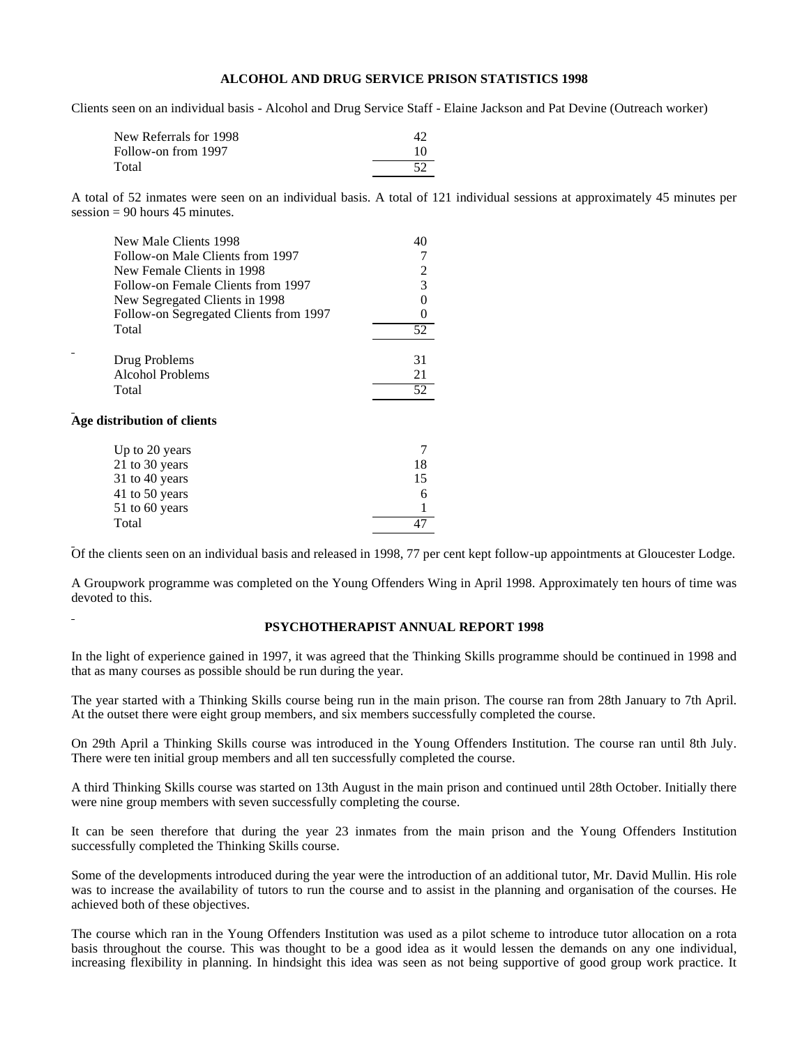## **ALCOHOL AND DRUG SERVICE PRISON STATISTICS 1998**

Clients seen on an individual basis - Alcohol and Drug Service Staff - Elaine Jackson and Pat Devine (Outreach worker)

| New Referrals for 1998 | 47 |
|------------------------|----|
| Follow-on from 1997    | 10 |
| Total                  | 52 |

A total of 52 inmates were seen on an individual basis. A total of 121 individual sessions at approximately 45 minutes per session  $= 90$  hours 45 minutes.

| New Male Clients 1998                  | 40 |
|----------------------------------------|----|
| Follow-on Male Clients from 1997       |    |
| New Female Clients in 1998             |    |
| Follow-on Female Clients from 1997     | 3  |
| New Segregated Clients in 1998         |    |
| Follow-on Segregated Clients from 1997 |    |
| Total                                  | 52 |
| Drug Problems                          | 31 |
| Alcohol Problems                       | 21 |
| Total                                  | 52 |
| distribution of clients                |    |
| Up to 20 years                         |    |
| 21 to 30 years                         | 18 |
| 31 to 40 years                         | 15 |
| 41 to 50 years                         | 6  |
| 51 to 60 years                         |    |

Total 47

Age

Of the clients seen on an individual basis and released in 1998, 77 per cent kept follow-up appointments at Gloucester Lodge.

A Groupwork programme was completed on the Young Offenders Wing in April 1998. Approximately ten hours of time was devoted to this.

## **PSYCHOTHERAPIST ANNUAL REPORT 1998**

In the light of experience gained in 1997, it was agreed that the Thinking Skills programme should be continued in 1998 and that as many courses as possible should be run during the year.

The year started with a Thinking Skills course being run in the main prison. The course ran from 28th January to 7th April. At the outset there were eight group members, and six members successfully completed the course.

On 29th April a Thinking Skills course was introduced in the Young Offenders Institution. The course ran until 8th July. There were ten initial group members and all ten successfully completed the course.

A third Thinking Skills course was started on 13th August in the main prison and continued until 28th October. Initially there were nine group members with seven successfully completing the course.

It can be seen therefore that during the year 23 inmates from the main prison and the Young Offenders Institution successfully completed the Thinking Skills course.

Some of the developments introduced during the year were the introduction of an additional tutor, Mr. David Mullin. His role was to increase the availability of tutors to run the course and to assist in the planning and organisation of the courses. He achieved both of these objectives.

The course which ran in the Young Offenders Institution was used as a pilot scheme to introduce tutor allocation on a rota basis throughout the course. This was thought to be a good idea as it would lessen the demands on any one individual, increasing flexibility in planning. In hindsight this idea was seen as not being supportive of good group work practice. It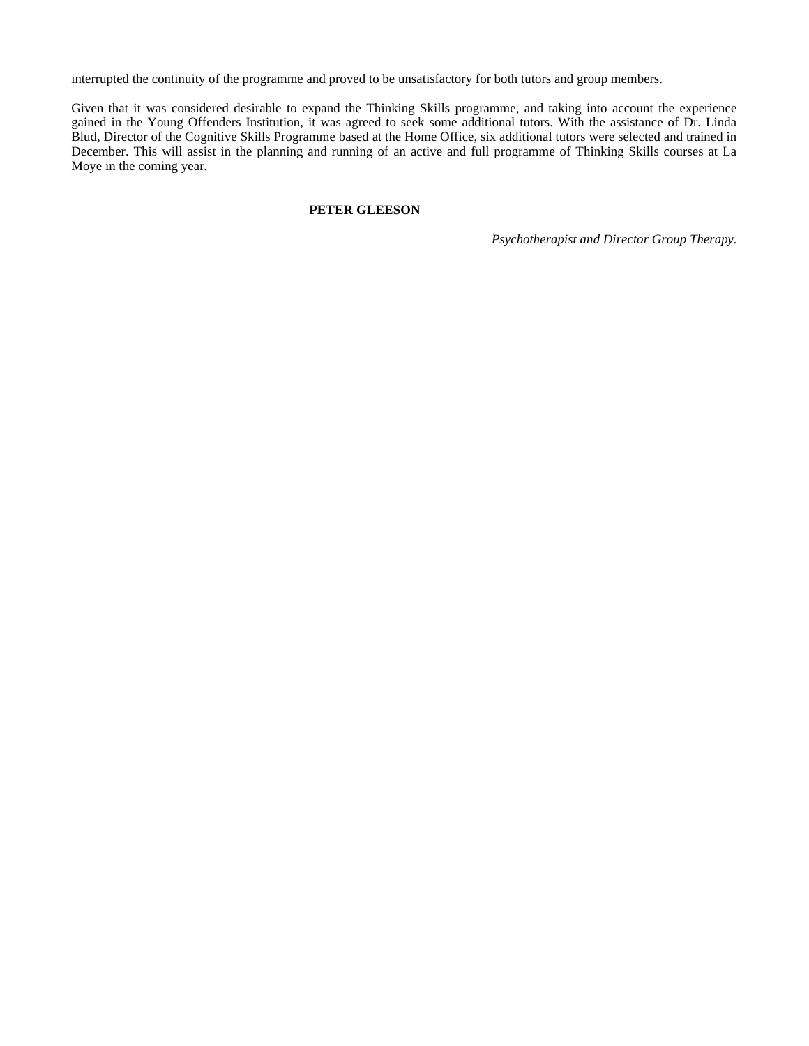interrupted the continuity of the programme and proved to be unsatisfactory for both tutors and group members.

Given that it was considered desirable to expand the Thinking Skills programme, and taking into account the experience gained in the Young Offenders Institution, it was agreed to seek some additional tutors. With the assistance of Dr. Linda Blud, Director of the Cognitive Skills Programme based at the Home Office, six additional tutors were selected and trained in December. This will assist in the planning and running of an active and full programme of Thinking Skills courses at La Moye in the coming year.

# **PETER GLEESON**

*Psychotherapist and Director Group Therapy.*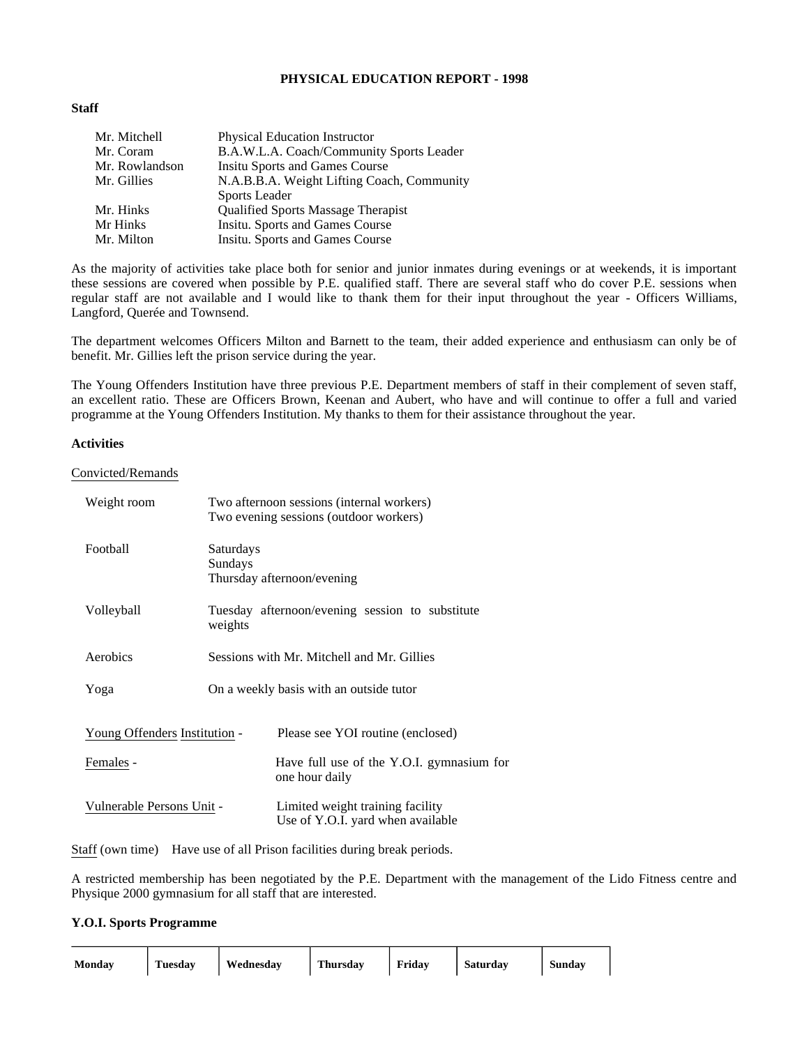## **PHYSICAL EDUCATION REPORT - 1998**

## **Staff**

| Mr. Mitchell   | Physical Education Instructor              |
|----------------|--------------------------------------------|
| Mr. Coram      | B.A.W.L.A. Coach/Community Sports Leader   |
| Mr. Rowlandson | <b>Insitu Sports and Games Course</b>      |
| Mr. Gillies    | N.A.B.B.A. Weight Lifting Coach, Community |
|                | <b>Sports Leader</b>                       |
| Mr. Hinks      | <b>Qualified Sports Massage Therapist</b>  |
| Mr Hinks       | Insitu. Sports and Games Course            |
| Mr. Milton     | Insitu. Sports and Games Course            |

As the majority of activities take place both for senior and junior inmates during evenings or at weekends, it is important these sessions are covered when possible by P.E. qualified staff. There are several staff who do cover P.E. sessions when regular staff are not available and I would like to thank them for their input throughout the year - Officers Williams, Langford, Querée and Townsend.

The department welcomes Officers Milton and Barnett to the team, their added experience and enthusiasm can only be of benefit. Mr. Gillies left the prison service during the year.

The Young Offenders Institution have three previous P.E. Department members of staff in their complement of seven staff, an excellent ratio. These are Officers Brown, Keenan and Aubert, who have and will continue to offer a full and varied programme at the Young Offenders Institution. My thanks to them for their assistance throughout the year.

## **Activities**

#### Convicted/Remands

| Weight room                   |                      | Two afternoon sessions (internal workers)<br>Two evening sessions (outdoor workers) |  |
|-------------------------------|----------------------|-------------------------------------------------------------------------------------|--|
| Football                      | Saturdays<br>Sundays | Thursday afternoon/evening                                                          |  |
| Volleyball                    | weights              | Tuesday afternoon/evening session to substitute                                     |  |
| Aerobics                      |                      | Sessions with Mr. Mitchell and Mr. Gillies                                          |  |
| Yoga                          |                      | On a weekly basis with an outside tutor                                             |  |
| Young Offenders Institution - |                      | Please see YOI routine (enclosed)                                                   |  |
| Females -                     |                      | Have full use of the Y.O.I. gymnasium for<br>one hour daily                         |  |
| Vulnerable Persons Unit -     |                      | Limited weight training facility<br>Use of Y.O.I. yard when available               |  |

Staff (own time) Have use of all Prison facilities during break periods.

A restricted membership has been negotiated by the P.E. Department with the management of the Lido Fitness centre and Physique 2000 gymnasium for all staff that are interested.

## **Y.O.I. Sports Programme**

| Mondav | Tuesdav | Wednesdav | Thursdav | . Fridav | Saturday | Sundav |
|--------|---------|-----------|----------|----------|----------|--------|
|        |         |           |          |          |          |        |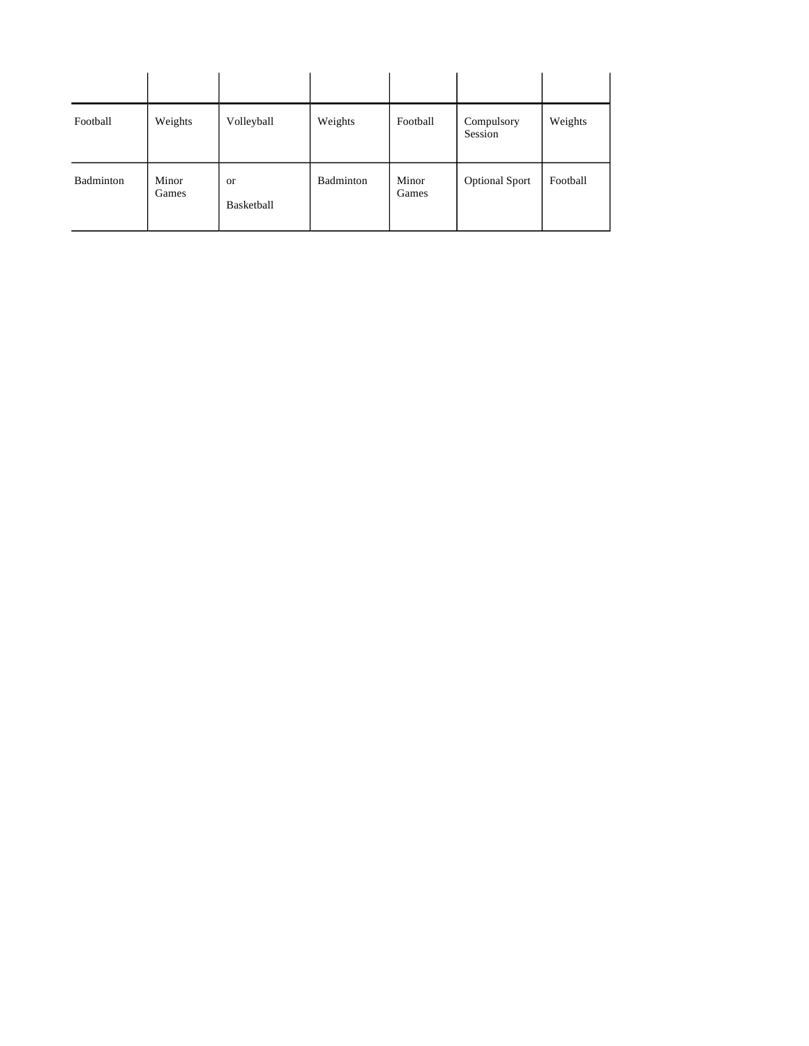| Football  | Weights        | Volleyball       | Weights   | Football       | Compulsory<br>Session | Weights  |
|-----------|----------------|------------------|-----------|----------------|-----------------------|----------|
| Badminton | Minor<br>Games | or<br>Basketball | Badminton | Minor<br>Games | <b>Optional Sport</b> | Football |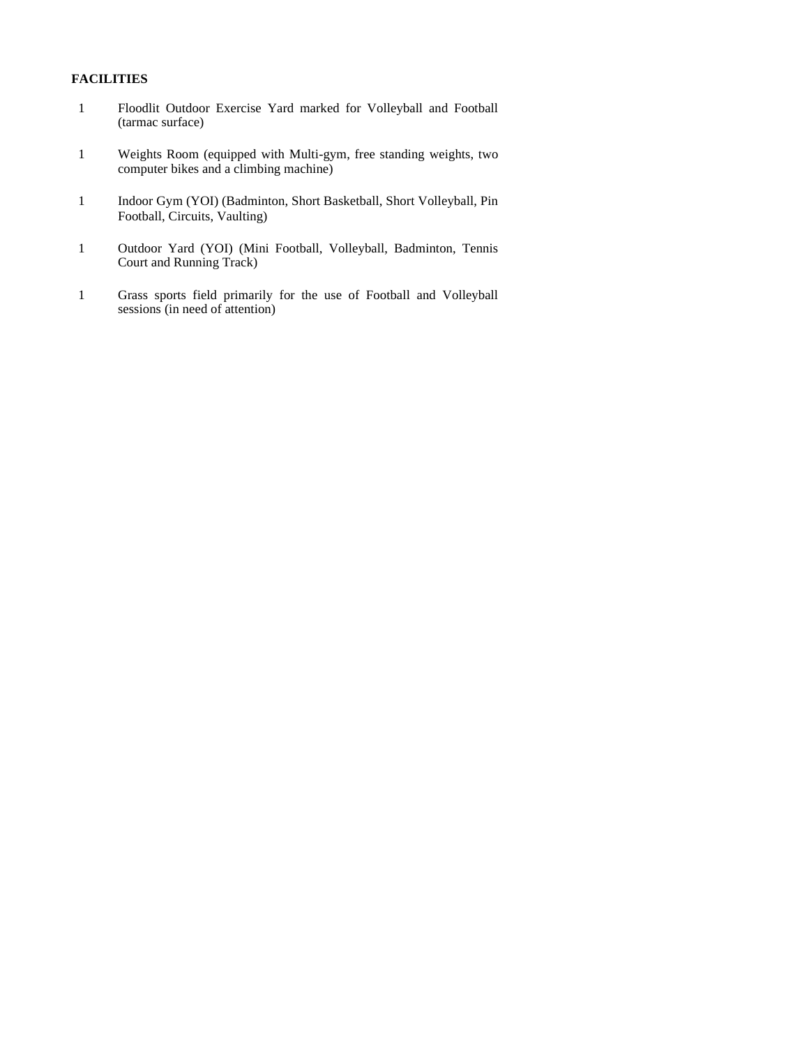## **FACILITIES**

- 1 Floodlit Outdoor Exercise Yard marked for Volleyball and Football (tarmac surface)
- 1 Weights Room (equipped with Multi-gym, free standing weights, two computer bikes and a climbing machine)
- 1 Indoor Gym (YOI) (Badminton, Short Basketball, Short Volleyball, Pin Football, Circuits, Vaulting)
- 1 Outdoor Yard (YOI) (Mini Football, Volleyball, Badminton, Tennis Court and Running Track)
- 1 Grass sports field primarily for the use of Football and Volleyball sessions (in need of attention)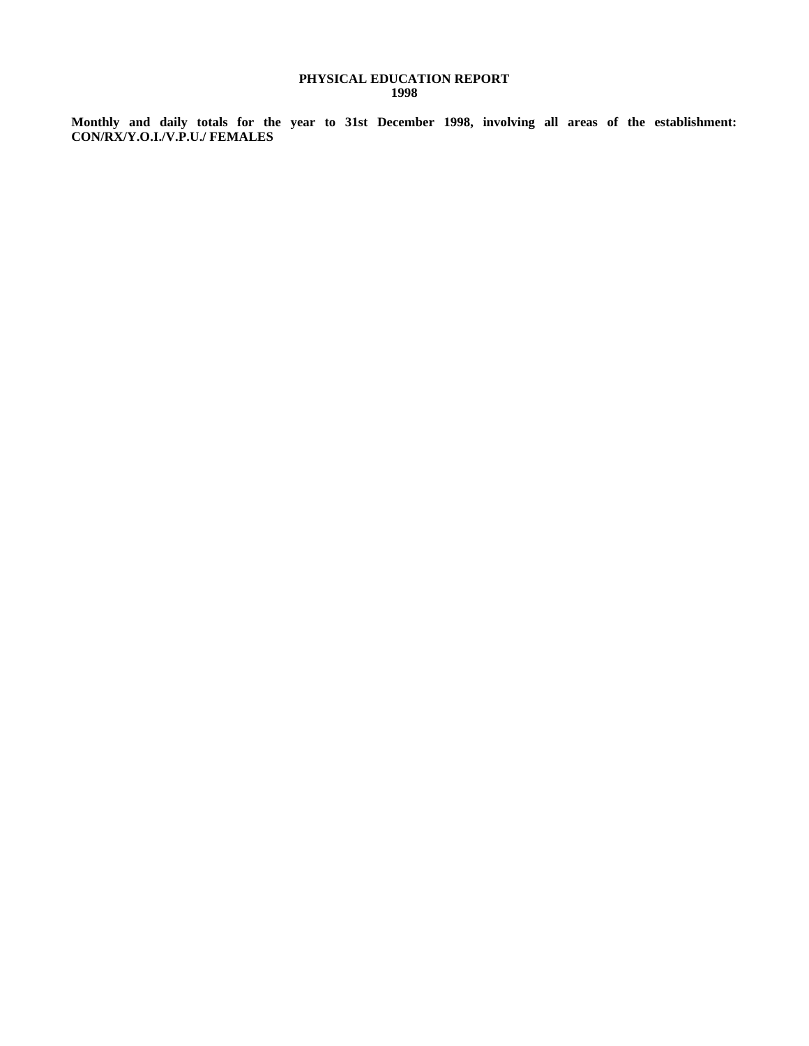## **PHYSICAL EDUCATION REPORT 1998**

**Monthly and daily totals for the year to 31st December 1998, involving all areas of the establishment: CON/RX/Y.O.I./V.P.U./ FEMALES**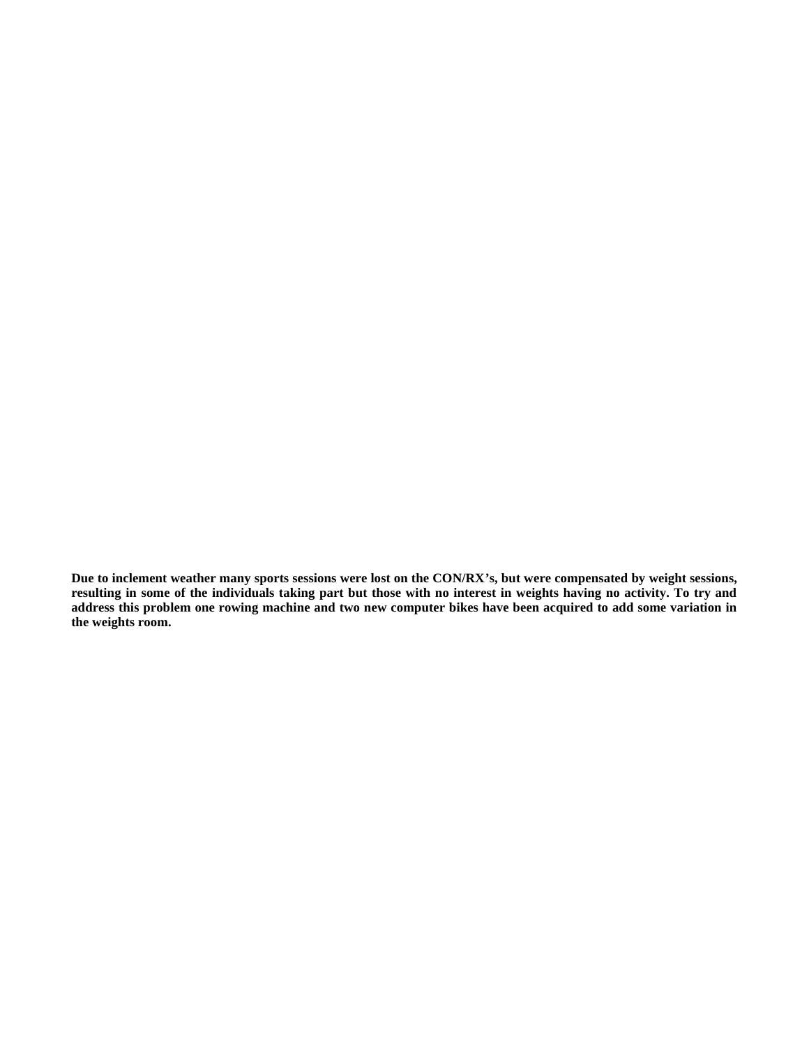**Due to inclement weather many sports sessions were lost on the CON/RX's, but were compensated by weight sessions, resulting in some of the individuals taking part but those with no interest in weights having no activity. To try and address this problem one rowing machine and two new computer bikes have been acquired to add some variation in the weights room.**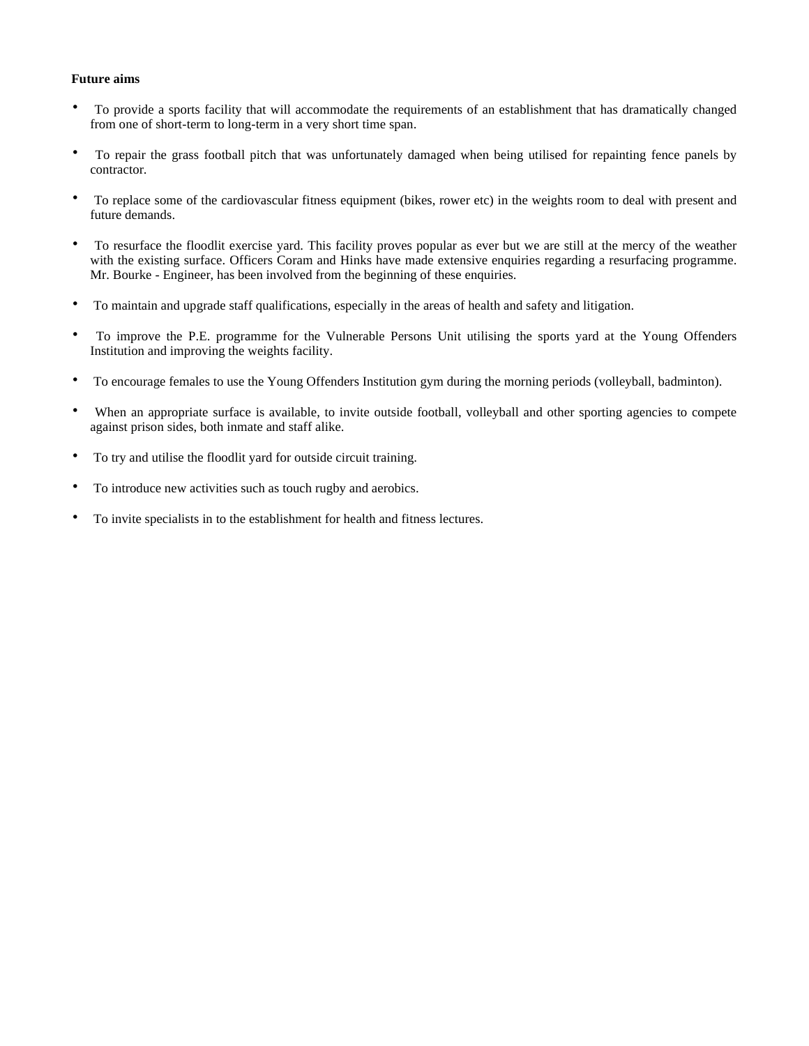## **Future aims**

- To provide a sports facility that will accommodate the requirements of an establishment that has dramatically changed from one of short-term to long-term in a very short time span.
- To repair the grass football pitch that was unfortunately damaged when being utilised for repainting fence panels by contractor.
- To replace some of the cardiovascular fitness equipment (bikes, rower etc) in the weights room to deal with present and future demands.
- To resurface the floodlit exercise yard. This facility proves popular as ever but we are still at the mercy of the weather with the existing surface. Officers Coram and Hinks have made extensive enquiries regarding a resurfacing programme. Mr. Bourke - Engineer, has been involved from the beginning of these enquiries.
- To maintain and upgrade staff qualifications, especially in the areas of health and safety and litigation.
- To improve the P.E. programme for the Vulnerable Persons Unit utilising the sports yard at the Young Offenders Institution and improving the weights facility.
- To encourage females to use the Young Offenders Institution gym during the morning periods (volleyball, badminton).
- When an appropriate surface is available, to invite outside football, volleyball and other sporting agencies to compete against prison sides, both inmate and staff alike.
- To try and utilise the floodlit yard for outside circuit training.
- To introduce new activities such as touch rugby and aerobics.
- To invite specialists in to the establishment for health and fitness lectures.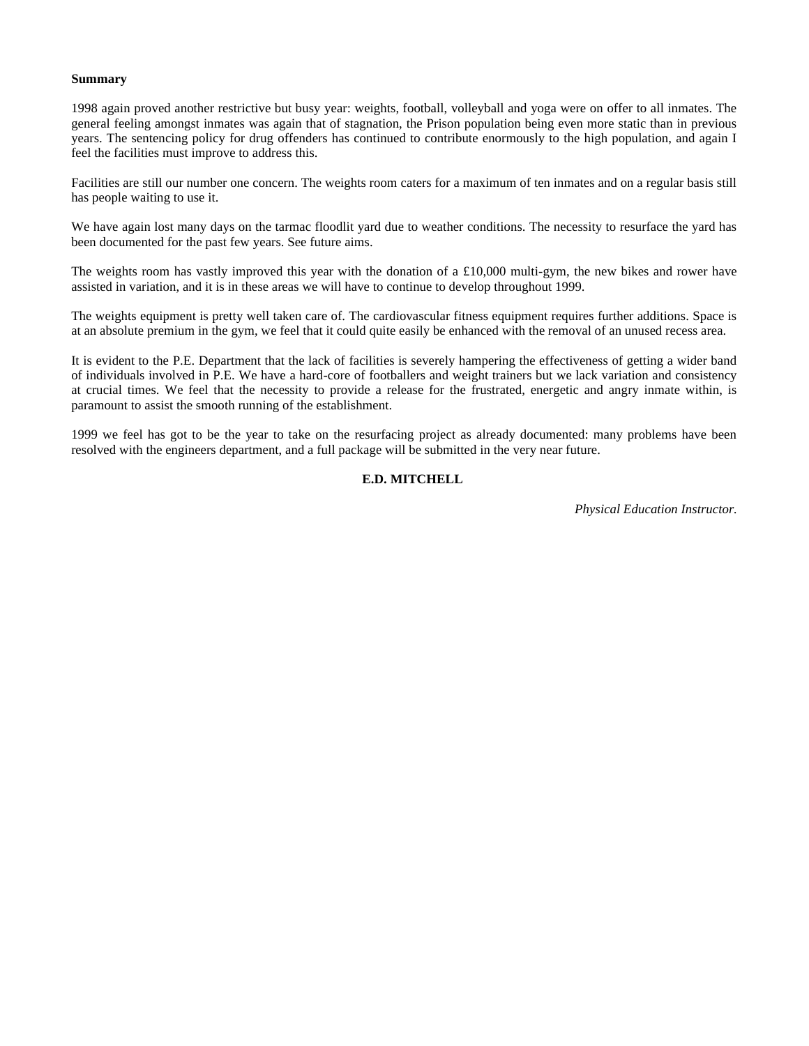#### **Summary**

1998 again proved another restrictive but busy year: weights, football, volleyball and yoga were on offer to all inmates. The general feeling amongst inmates was again that of stagnation, the Prison population being even more static than in previous years. The sentencing policy for drug offenders has continued to contribute enormously to the high population, and again I feel the facilities must improve to address this.

Facilities are still our number one concern. The weights room caters for a maximum of ten inmates and on a regular basis still has people waiting to use it.

We have again lost many days on the tarmac floodlit yard due to weather conditions. The necessity to resurface the yard has been documented for the past few years. See future aims.

The weights room has vastly improved this year with the donation of a £10,000 multi-gym, the new bikes and rower have assisted in variation, and it is in these areas we will have to continue to develop throughout 1999.

The weights equipment is pretty well taken care of. The cardiovascular fitness equipment requires further additions. Space is at an absolute premium in the gym, we feel that it could quite easily be enhanced with the removal of an unused recess area.

It is evident to the P.E. Department that the lack of facilities is severely hampering the effectiveness of getting a wider band of individuals involved in P.E. We have a hard-core of footballers and weight trainers but we lack variation and consistency at crucial times. We feel that the necessity to provide a release for the frustrated, energetic and angry inmate within, is paramount to assist the smooth running of the establishment.

1999 we feel has got to be the year to take on the resurfacing project as already documented: many problems have been resolved with the engineers department, and a full package will be submitted in the very near future.

## **E.D. MITCHELL**

*Physical Education Instructor.*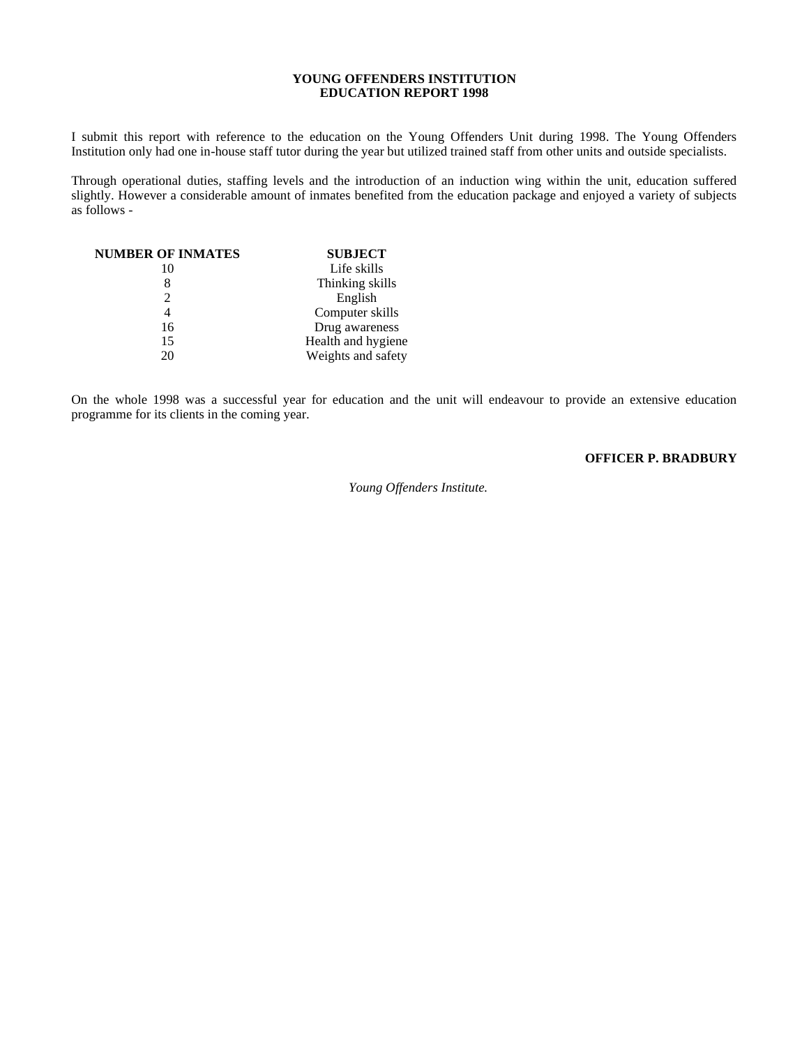## **YOUNG OFFENDERS INSTITUTION EDUCATION REPORT 1998**

I submit this report with reference to the education on the Young Offenders Unit during 1998. The Young Offenders Institution only had one in-house staff tutor during the year but utilized trained staff from other units and outside specialists.

Through operational duties, staffing levels and the introduction of an induction wing within the unit, education suffered slightly. However a considerable amount of inmates benefited from the education package and enjoyed a variety of subjects as follows -

| <b>NUMBER OF INMATES</b> | <b>SUBJECT</b>     |
|--------------------------|--------------------|
| 10                       | Life skills        |
|                          | Thinking skills    |
|                          | English            |
|                          | Computer skills    |
| 16                       | Drug awareness     |
| 15                       | Health and hygiene |
| 20                       | Weights and safety |

On the whole 1998 was a successful year for education and the unit will endeavour to provide an extensive education programme for its clients in the coming year.

# **OFFICER P. BRADBURY**

 *Young Offenders Institute.*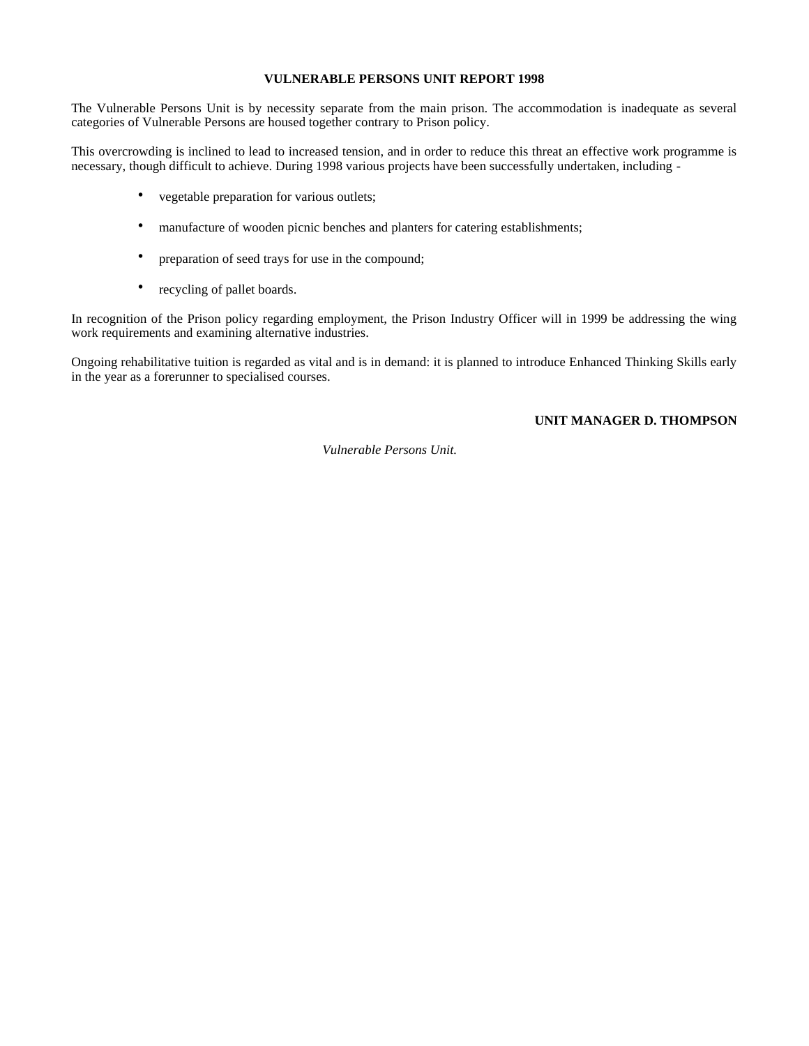## **VULNERABLE PERSONS UNIT REPORT 1998**

The Vulnerable Persons Unit is by necessity separate from the main prison. The accommodation is inadequate as several categories of Vulnerable Persons are housed together contrary to Prison policy.

This overcrowding is inclined to lead to increased tension, and in order to reduce this threat an effective work programme is necessary, though difficult to achieve. During 1998 various projects have been successfully undertaken, including -

- vegetable preparation for various outlets;
- manufacture of wooden picnic benches and planters for catering establishments;
- preparation of seed trays for use in the compound;
- recycling of pallet boards.

In recognition of the Prison policy regarding employment, the Prison Industry Officer will in 1999 be addressing the wing work requirements and examining alternative industries.

Ongoing rehabilitative tuition is regarded as vital and is in demand: it is planned to introduce Enhanced Thinking Skills early in the year as a forerunner to specialised courses.

## **UNIT MANAGER D. THOMPSON**

 *Vulnerable Persons Unit.*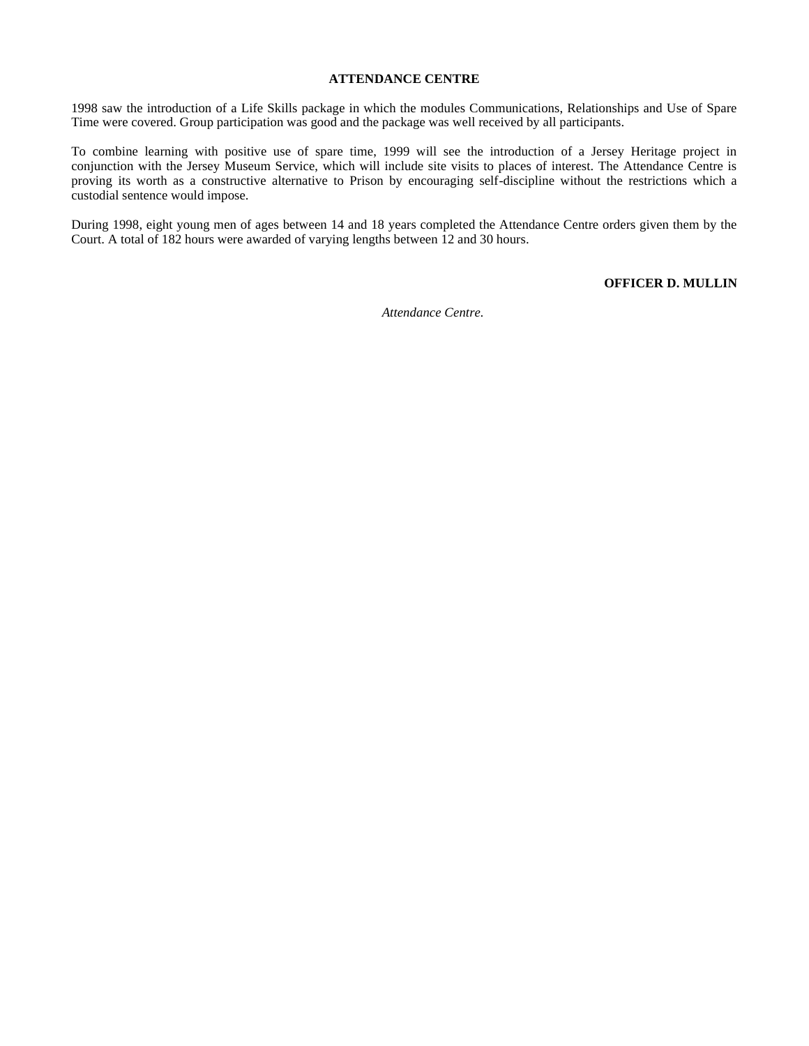#### **ATTENDANCE CENTRE**

1998 saw the introduction of a Life Skills package in which the modules Communications, Relationships and Use of Spare Time were covered. Group participation was good and the package was well received by all participants.

To combine learning with positive use of spare time, 1999 will see the introduction of a Jersey Heritage project in conjunction with the Jersey Museum Service, which will include site visits to places of interest. The Attendance Centre is proving its worth as a constructive alternative to Prison by encouraging self-discipline without the restrictions which a custodial sentence would impose.

During 1998, eight young men of ages between 14 and 18 years completed the Attendance Centre orders given them by the Court. A total of 182 hours were awarded of varying lengths between 12 and 30 hours.

**OFFICER D. MULLIN**

 *Attendance Centre.*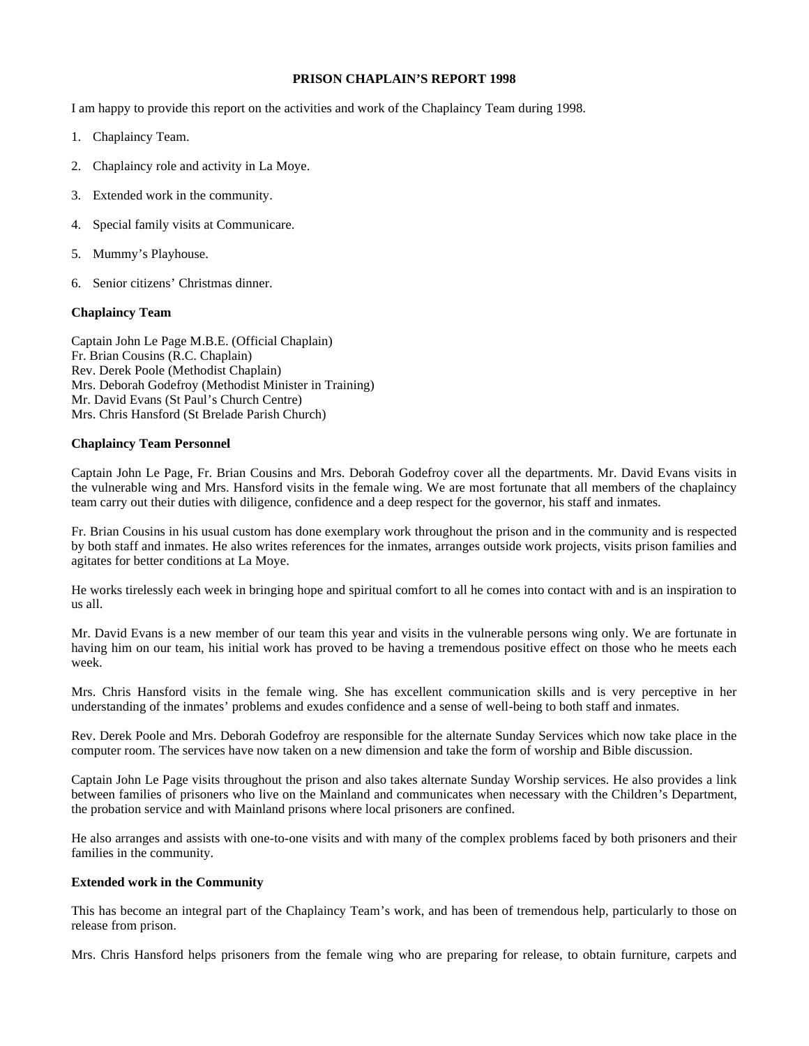## **PRISON CHAPLAIN'S REPORT 1998**

I am happy to provide this report on the activities and work of the Chaplaincy Team during 1998.

- 1. Chaplaincy Team.
- 2. Chaplaincy role and activity in La Moye.
- 3. Extended work in the community.
- 4. Special family visits at Communicare.
- 5. Mummy's Playhouse.
- 6. Senior citizens' Christmas dinner.

#### **Chaplaincy Team**

Captain John Le Page M.B.E. (Official Chaplain) Fr. Brian Cousins (R.C. Chaplain) Rev. Derek Poole (Methodist Chaplain) Mrs. Deborah Godefroy (Methodist Minister in Training) Mr. David Evans (St Paul's Church Centre) Mrs. Chris Hansford (St Brelade Parish Church)

#### **Chaplaincy Team Personnel**

Captain John Le Page, Fr. Brian Cousins and Mrs. Deborah Godefroy cover all the departments. Mr. David Evans visits in the vulnerable wing and Mrs. Hansford visits in the female wing. We are most fortunate that all members of the chaplaincy team carry out their duties with diligence, confidence and a deep respect for the governor, his staff and inmates.

Fr. Brian Cousins in his usual custom has done exemplary work throughout the prison and in the community and is respected by both staff and inmates. He also writes references for the inmates, arranges outside work projects, visits prison families and agitates for better conditions at La Moye.

He works tirelessly each week in bringing hope and spiritual comfort to all he comes into contact with and is an inspiration to us all.

Mr. David Evans is a new member of our team this year and visits in the vulnerable persons wing only. We are fortunate in having him on our team, his initial work has proved to be having a tremendous positive effect on those who he meets each week.

Mrs. Chris Hansford visits in the female wing. She has excellent communication skills and is very perceptive in her understanding of the inmates' problems and exudes confidence and a sense of well-being to both staff and inmates.

Rev. Derek Poole and Mrs. Deborah Godefroy are responsible for the alternate Sunday Services which now take place in the computer room. The services have now taken on a new dimension and take the form of worship and Bible discussion.

Captain John Le Page visits throughout the prison and also takes alternate Sunday Worship services. He also provides a link between families of prisoners who live on the Mainland and communicates when necessary with the Children's Department, the probation service and with Mainland prisons where local prisoners are confined.

He also arranges and assists with one-to-one visits and with many of the complex problems faced by both prisoners and their families in the community.

#### **Extended work in the Community**

This has become an integral part of the Chaplaincy Team's work, and has been of tremendous help, particularly to those on release from prison.

Mrs. Chris Hansford helps prisoners from the female wing who are preparing for release, to obtain furniture, carpets and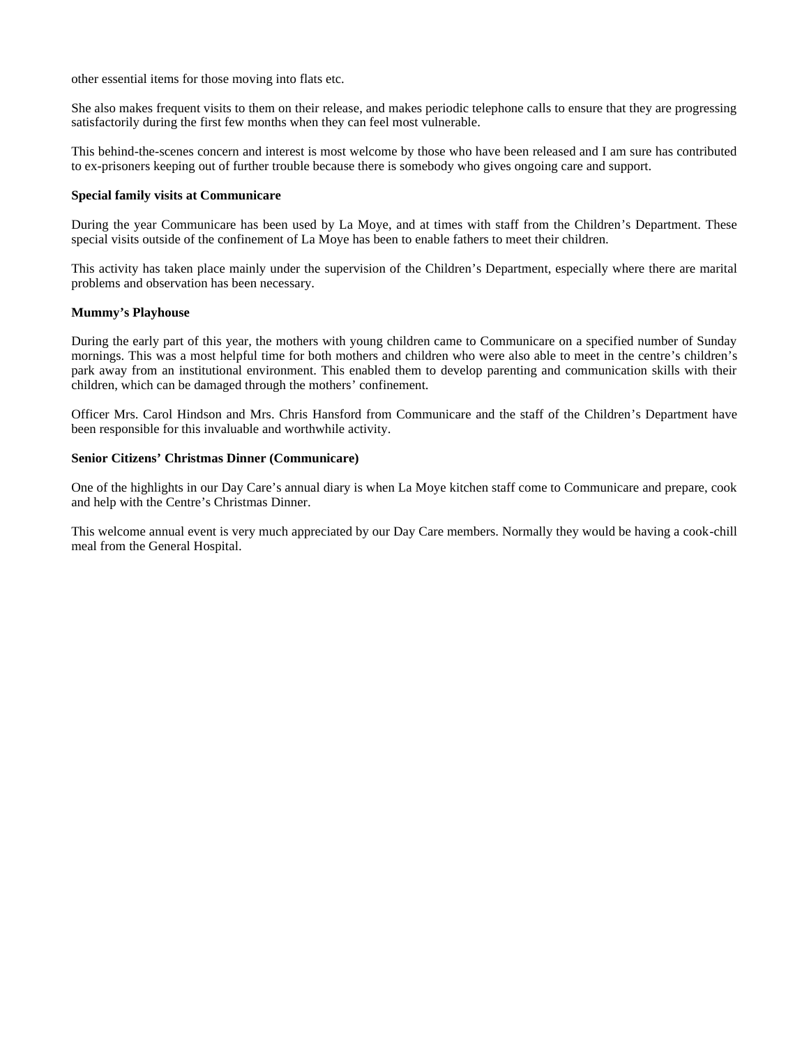other essential items for those moving into flats etc.

She also makes frequent visits to them on their release, and makes periodic telephone calls to ensure that they are progressing satisfactorily during the first few months when they can feel most vulnerable.

This behind-the-scenes concern and interest is most welcome by those who have been released and I am sure has contributed to ex-prisoners keeping out of further trouble because there is somebody who gives ongoing care and support.

## **Special family visits at Communicare**

During the year Communicare has been used by La Moye, and at times with staff from the Children's Department. These special visits outside of the confinement of La Moye has been to enable fathers to meet their children.

This activity has taken place mainly under the supervision of the Children's Department, especially where there are marital problems and observation has been necessary.

#### **Mummy's Playhouse**

During the early part of this year, the mothers with young children came to Communicare on a specified number of Sunday mornings. This was a most helpful time for both mothers and children who were also able to meet in the centre's children's park away from an institutional environment. This enabled them to develop parenting and communication skills with their children, which can be damaged through the mothers' confinement.

Officer Mrs. Carol Hindson and Mrs. Chris Hansford from Communicare and the staff of the Children's Department have been responsible for this invaluable and worthwhile activity.

## **Senior Citizens' Christmas Dinner (Communicare)**

One of the highlights in our Day Care's annual diary is when La Moye kitchen staff come to Communicare and prepare, cook and help with the Centre's Christmas Dinner.

This welcome annual event is very much appreciated by our Day Care members. Normally they would be having a cook-chill meal from the General Hospital.